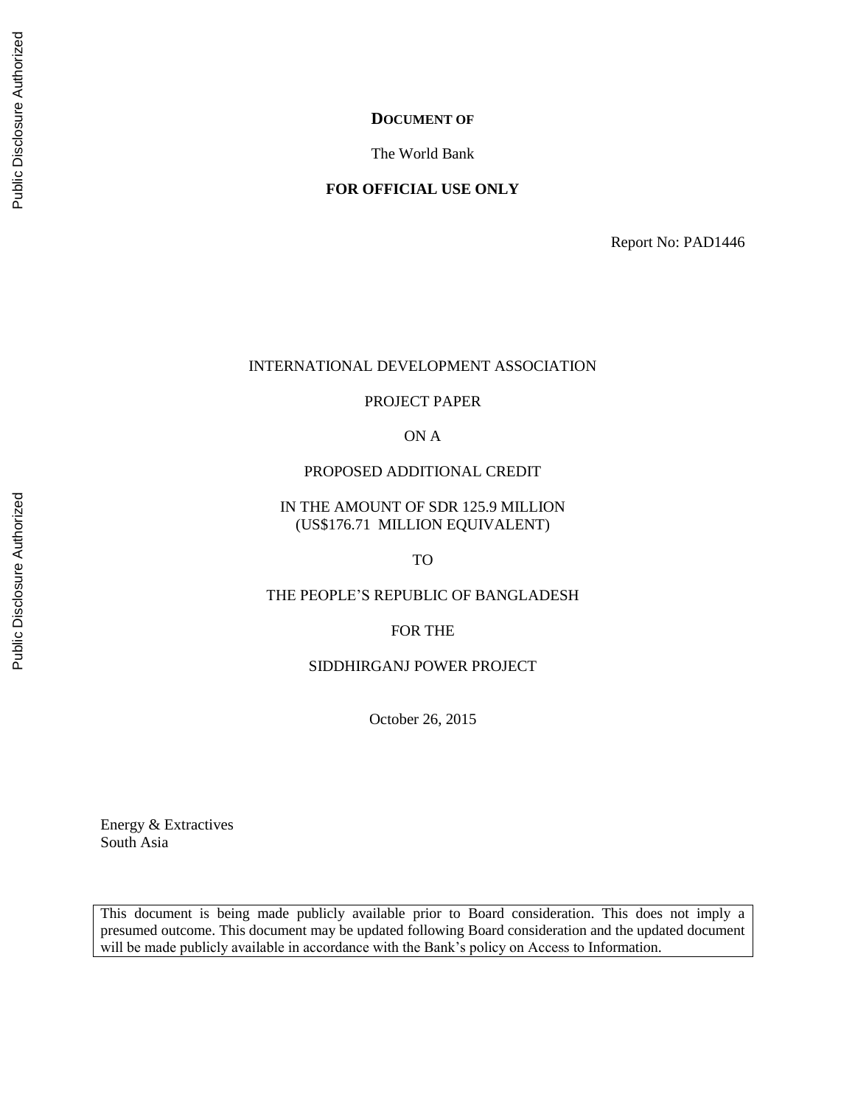The World Bank

#### **FOR OFFICIAL USE ONLY**

Report No: PAD1446

#### INTERNATIONAL DEVELOPMENT ASSOCIATION

PROJECT PAPER

ON A

#### PROPOSED ADDITIONAL CREDIT

IN THE AMOUNT OF SDR 125.9 MILLION (US\$176.71 MILLION EQUIVALENT)

TO

#### THE PEOPLE'S REPUBLIC OF BANGLADESH

FOR THE

SIDDHIRGANJ POWER PROJECT

October 26, 2015

Energy & Extractives South Asia

This document is being made publicly available prior to Board consideration. This does not imply a presumed outcome. This document may be updated following Board consideration and the updated document will be made publicly available in accordance with the Bank's policy on Access to Information.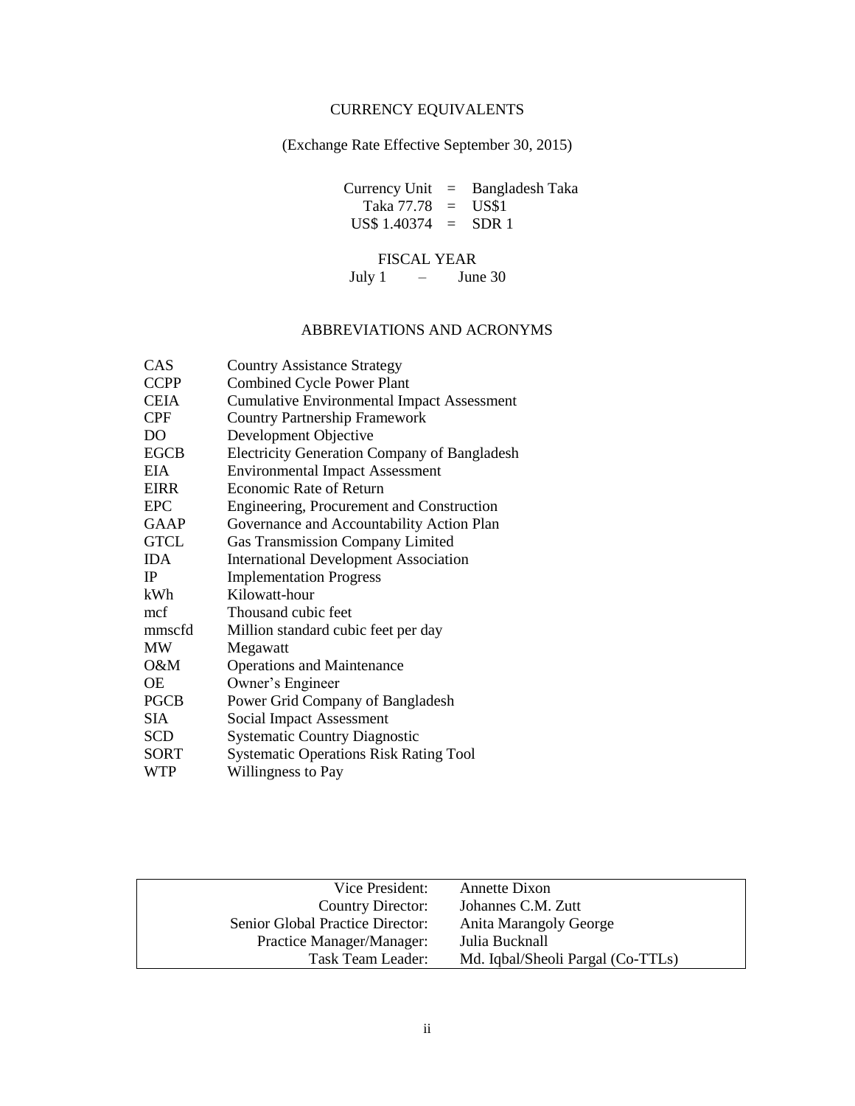# CURRENCY EQUIVALENTS

(Exchange Rate Effective September 30, 2015)

Currency Unit = Bangladesh Taka Taka 77.78 = US\$1  $US$ 1.40374 = SDR 1$ 

### FISCAL YEAR

July 1 – June 30

## ABBREVIATIONS AND ACRONYMS

| <b>CAS</b>  | <b>Country Assistance Strategy</b>                  |
|-------------|-----------------------------------------------------|
| <b>CCPP</b> | <b>Combined Cycle Power Plant</b>                   |
| <b>CEIA</b> | <b>Cumulative Environmental Impact Assessment</b>   |
| <b>CPF</b>  | <b>Country Partnership Framework</b>                |
| DO          | Development Objective                               |
| <b>EGCB</b> | <b>Electricity Generation Company of Bangladesh</b> |
| <b>EIA</b>  | <b>Environmental Impact Assessment</b>              |
| <b>EIRR</b> | <b>Economic Rate of Return</b>                      |
| <b>EPC</b>  | Engineering, Procurement and Construction           |
| GAAP        | Governance and Accountability Action Plan           |
| <b>GTCL</b> | <b>Gas Transmission Company Limited</b>             |
| <b>IDA</b>  | <b>International Development Association</b>        |
| <b>IP</b>   | <b>Implementation Progress</b>                      |
| kWh         | Kilowatt-hour                                       |
| mcf         | Thousand cubic feet                                 |
| mmscfd      | Million standard cubic feet per day                 |
| <b>MW</b>   | Megawatt                                            |
| $O\&M$      | <b>Operations and Maintenance</b>                   |
| ΟE          | Owner's Engineer                                    |
| <b>PGCB</b> | Power Grid Company of Bangladesh                    |
| <b>SIA</b>  | <b>Social Impact Assessment</b>                     |
| <b>SCD</b>  | <b>Systematic Country Diagnostic</b>                |
| <b>SORT</b> | <b>Systematic Operations Risk Rating Tool</b>       |
| <b>WTP</b>  | Willingness to Pay                                  |

| Vice President:                  | <b>Annette Dixon</b>              |
|----------------------------------|-----------------------------------|
| Country Director:                | Johannes C.M. Zutt                |
| Senior Global Practice Director: | <b>Anita Marangoly George</b>     |
| Practice Manager/Manager:        | Julia Bucknall                    |
| Task Team Leader:                | Md. Iqbal/Sheoli Pargal (Co-TTLs) |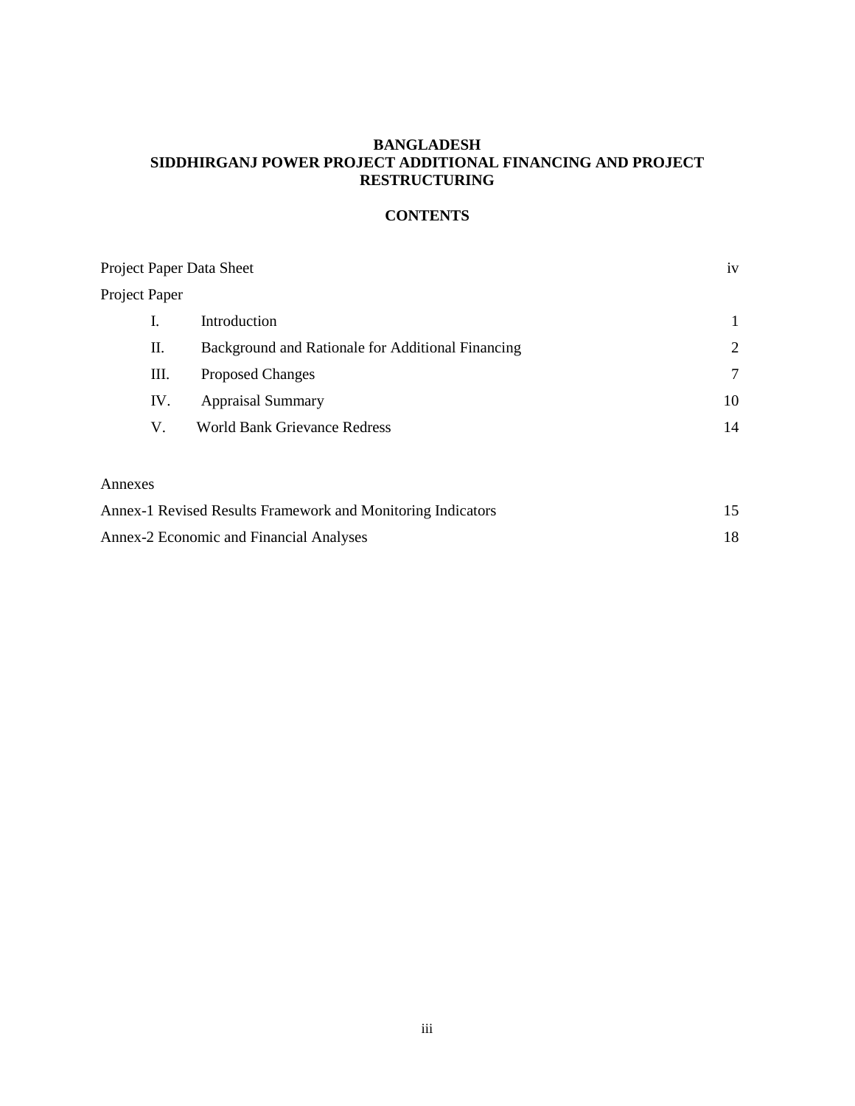# **BANGLADESH SIDDHIRGANJ POWER PROJECT ADDITIONAL FINANCING AND PROJECT RESTRUCTURING**

## **CONTENTS**

|               | Project Paper Data Sheet                          | iv           |
|---------------|---------------------------------------------------|--------------|
| Project Paper |                                                   |              |
| I.            | Introduction                                      | $\mathbf{1}$ |
| П.            | Background and Rationale for Additional Financing | 2            |
| Ш.            | <b>Proposed Changes</b>                           | 7            |
| IV.           | <b>Appraisal Summary</b>                          | 10           |
| V.            | <b>World Bank Grievance Redress</b>               | 14           |
|               |                                                   |              |
| Annexes       |                                                   |              |

| Annex-1 Revised Results Framework and Monitoring Indicators |  |
|-------------------------------------------------------------|--|
| Annex-2 Economic and Financial Analyses                     |  |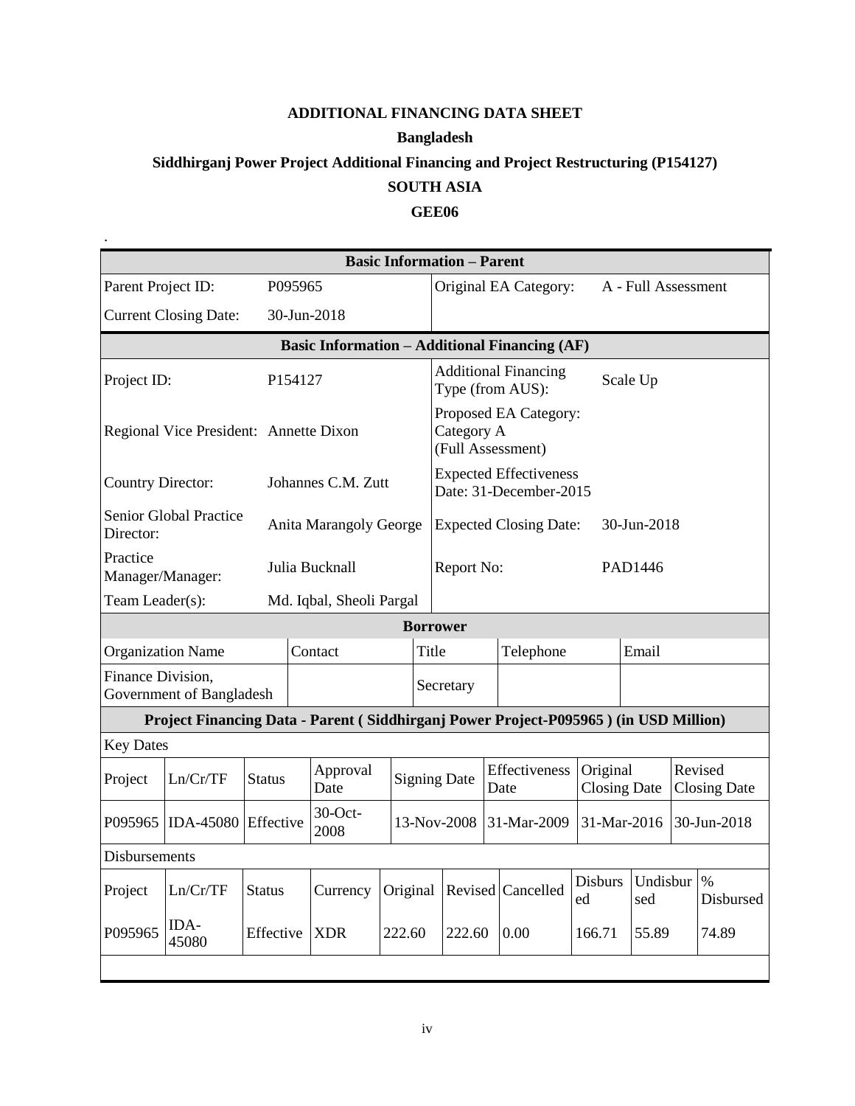# **ADDITIONAL FINANCING DATA SHEET Bangladesh Siddhirganj Power Project Additional Financing and Project Restructuring (P154127) SOUTH ASIA GEE06**

.

| <b>Basic Information – Parent</b>                    |                                                                                      |               |                                        |                          |             |                  |                                              |                                                         |                                                 |                                 |                     |                                |                   |
|------------------------------------------------------|--------------------------------------------------------------------------------------|---------------|----------------------------------------|--------------------------|-------------|------------------|----------------------------------------------|---------------------------------------------------------|-------------------------------------------------|---------------------------------|---------------------|--------------------------------|-------------------|
| Parent Project ID:                                   |                                                                                      |               | P095965                                |                          |             |                  |                                              |                                                         | Original EA Category:                           |                                 | A - Full Assessment |                                |                   |
|                                                      | <b>Current Closing Date:</b>                                                         |               |                                        | 30-Jun-2018              |             |                  |                                              |                                                         |                                                 |                                 |                     |                                |                   |
| <b>Basic Information – Additional Financing (AF)</b> |                                                                                      |               |                                        |                          |             |                  |                                              |                                                         |                                                 |                                 |                     |                                |                   |
| Project ID:                                          |                                                                                      |               | P154127                                |                          |             |                  |                                              |                                                         | <b>Additional Financing</b><br>Type (from AUS): |                                 | Scale Up            |                                |                   |
|                                                      |                                                                                      |               | Regional Vice President: Annette Dixon |                          |             |                  | Category A                                   | Proposed EA Category:<br>(Full Assessment)              |                                                 |                                 |                     |                                |                   |
| <b>Country Director:</b>                             |                                                                                      |               | Johannes C.M. Zutt                     |                          |             |                  |                                              | <b>Expected Effectiveness</b><br>Date: 31-December-2015 |                                                 |                                 |                     |                                |                   |
| Director:                                            | Senior Global Practice                                                               |               | Anita Marangoly George                 |                          |             |                  |                                              |                                                         | <b>Expected Closing Date:</b>                   |                                 | 30-Jun-2018         |                                |                   |
| Practice<br>Manager/Manager:                         |                                                                                      |               | Julia Bucknall                         |                          |             |                  | Report No:                                   |                                                         |                                                 |                                 | PAD1446             |                                |                   |
| Team Leader(s):                                      |                                                                                      |               |                                        | Md. Iqbal, Sheoli Pargal |             |                  |                                              |                                                         |                                                 |                                 |                     |                                |                   |
|                                                      |                                                                                      |               |                                        |                          |             |                  | <b>Borrower</b>                              |                                                         |                                                 |                                 |                     |                                |                   |
|                                                      | <b>Organization Name</b>                                                             |               |                                        | Contact                  |             | Title            |                                              |                                                         | Telephone                                       |                                 | Email               |                                |                   |
| Finance Division,                                    | Government of Bangladesh                                                             |               |                                        |                          |             |                  | Secretary                                    |                                                         |                                                 |                                 |                     |                                |                   |
|                                                      | Project Financing Data - Parent (Siddhirganj Power Project-P095965) (in USD Million) |               |                                        |                          |             |                  |                                              |                                                         |                                                 |                                 |                     |                                |                   |
| <b>Key Dates</b>                                     |                                                                                      |               |                                        |                          |             |                  |                                              |                                                         |                                                 |                                 |                     |                                |                   |
| Project                                              | Ln/Cr/TF                                                                             | <b>Status</b> |                                        | Approval<br>Date         |             |                  | Effectiveness<br><b>Signing Date</b><br>Date |                                                         |                                                 | Original<br><b>Closing Date</b> |                     | Revised<br><b>Closing Date</b> |                   |
| P095965                                              | <b>IDA-45080</b>                                                                     | Effective     |                                        | 30-Oct-<br>2008          | 13-Nov-2008 |                  |                                              |                                                         | 31-Mar-2009                                     |                                 | 31-Mar-2016         |                                | 30-Jun-2018       |
| <b>Disbursements</b>                                 |                                                                                      |               |                                        |                          |             |                  |                                              |                                                         |                                                 |                                 |                     |                                |                   |
| Project                                              | Ln/Cr/TF                                                                             | <b>Status</b> |                                        | Currency                 | Original    |                  |                                              |                                                         | Revised Cancelled                               | Disburs<br>ed                   | Undisbur<br>sed     |                                | $\%$<br>Disbursed |
| P095965                                              | IDA-<br>45080                                                                        | Effective     |                                        | <b>XDR</b>               |             | 222.60<br>222.60 |                                              |                                                         | 0.00                                            | 166.71                          | 55.89               |                                | 74.89             |
|                                                      |                                                                                      |               |                                        |                          |             |                  |                                              |                                                         |                                                 |                                 |                     |                                |                   |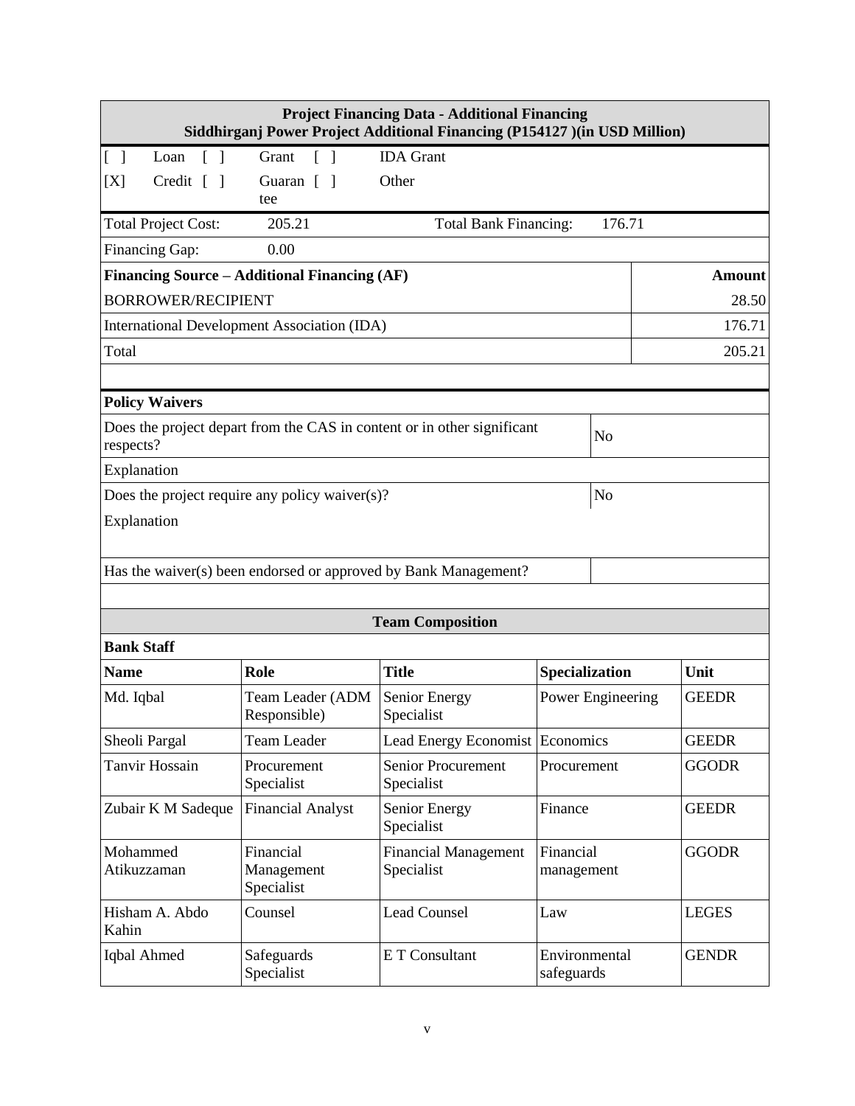| <b>Project Financing Data - Additional Financing</b><br>Siddhirganj Power Project Additional Financing (P154127) (in USD Million)                        |                                                    |                                                                         |                             |              |  |  |  |  |
|----------------------------------------------------------------------------------------------------------------------------------------------------------|----------------------------------------------------|-------------------------------------------------------------------------|-----------------------------|--------------|--|--|--|--|
| $\begin{bmatrix} 1 \end{bmatrix}$<br>Loan<br>$\lceil$ $\rceil$                                                                                           | Grant                                              | <b>IDA</b> Grant                                                        |                             |              |  |  |  |  |
| [X]<br>Credit $\lceil$                                                                                                                                   | Guaran $\lceil \; \rceil$<br>tee                   | Other                                                                   |                             |              |  |  |  |  |
| <b>Total Project Cost:</b>                                                                                                                               | 205.21                                             | <b>Total Bank Financing:</b>                                            | 176.71                      |              |  |  |  |  |
| Financing Gap:                                                                                                                                           | 0.00                                               |                                                                         |                             |              |  |  |  |  |
|                                                                                                                                                          | Financing Source – Additional Financing (AF)       |                                                                         |                             | Amount       |  |  |  |  |
| <b>BORROWER/RECIPIENT</b>                                                                                                                                |                                                    |                                                                         |                             | 28.50        |  |  |  |  |
|                                                                                                                                                          | International Development Association (IDA)        |                                                                         |                             | 176.71       |  |  |  |  |
| Total                                                                                                                                                    |                                                    |                                                                         |                             | 205.21       |  |  |  |  |
|                                                                                                                                                          |                                                    |                                                                         |                             |              |  |  |  |  |
| <b>Policy Waivers</b>                                                                                                                                    |                                                    |                                                                         |                             |              |  |  |  |  |
| respects?                                                                                                                                                |                                                    | Does the project depart from the CAS in content or in other significant | N <sub>o</sub>              |              |  |  |  |  |
| Explanation                                                                                                                                              |                                                    |                                                                         |                             |              |  |  |  |  |
|                                                                                                                                                          | Does the project require any policy waiver $(s)$ ? |                                                                         | No                          |              |  |  |  |  |
| Explanation                                                                                                                                              |                                                    |                                                                         |                             |              |  |  |  |  |
|                                                                                                                                                          |                                                    | Has the waiver(s) been endorsed or approved by Bank Management?         |                             |              |  |  |  |  |
|                                                                                                                                                          |                                                    | <b>Team Composition</b>                                                 |                             |              |  |  |  |  |
| <b>Bank Staff</b>                                                                                                                                        |                                                    |                                                                         |                             |              |  |  |  |  |
| <b>Name</b>                                                                                                                                              | Role                                               | <b>Title</b>                                                            | Specialization              | Unit         |  |  |  |  |
| Md. Iqbal                                                                                                                                                | <b>Team Leader (ADM</b><br>Responsible)            | Senior Energy<br>Specialist                                             | Power Engineering           | <b>GEEDR</b> |  |  |  |  |
| Sheoli Pargal                                                                                                                                            | <b>Team Leader</b>                                 | Lead Energy Economist Economics                                         |                             | <b>GEEDR</b> |  |  |  |  |
| Tanvir Hossain                                                                                                                                           | Procurement<br>Specialist                          | <b>Senior Procurement</b><br>Specialist                                 | Procurement                 | <b>GGODR</b> |  |  |  |  |
| Zubair K M Sadeque                                                                                                                                       | <b>Financial Analyst</b>                           | Senior Energy<br>Specialist                                             | Finance                     | <b>GEEDR</b> |  |  |  |  |
| Mohammed<br>Financial<br>Financial<br><b>Financial Management</b><br><b>GGODR</b><br>Management<br>Atikuzzaman<br>Specialist<br>management<br>Specialist |                                                    |                                                                         |                             |              |  |  |  |  |
| Hisham A. Abdo<br>Kahin                                                                                                                                  | Counsel                                            | <b>Lead Counsel</b>                                                     | Law                         | <b>LEGES</b> |  |  |  |  |
| Iqbal Ahmed                                                                                                                                              | Safeguards<br>Specialist                           | E T Consultant                                                          | Environmental<br>safeguards | <b>GENDR</b> |  |  |  |  |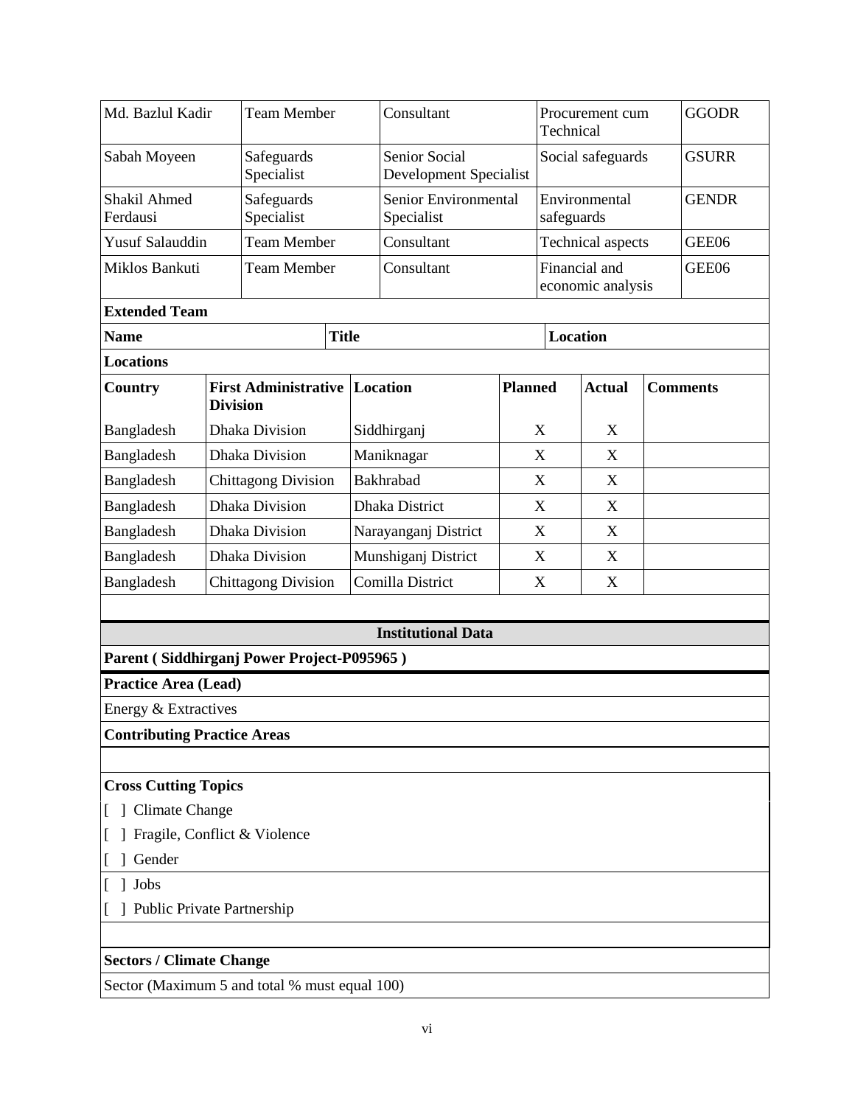| Md. Bazlul Kadir                    | <b>Team Member</b>       |                                               |  | Consultant                                     |                | Procurement cum<br>Technical |                                    |  | <b>GGODR</b>    |
|-------------------------------------|--------------------------|-----------------------------------------------|--|------------------------------------------------|----------------|------------------------------|------------------------------------|--|-----------------|
| Sabah Moyeen                        | Safeguards<br>Specialist |                                               |  | <b>Senior Social</b><br>Development Specialist |                | Social safeguards            |                                    |  | <b>GSURR</b>    |
| Shakil Ahmed<br>Ferdausi            |                          | Safeguards<br>Specialist                      |  | Senior Environmental<br>Specialist             |                |                              | Environmental<br>safeguards        |  | <b>GENDR</b>    |
| <b>Yusuf Salauddin</b>              |                          | <b>Team Member</b>                            |  | Consultant                                     |                |                              | <b>Technical aspects</b>           |  | GEE06           |
| Miklos Bankuti                      |                          | <b>Team Member</b>                            |  | Consultant                                     |                |                              | Financial and<br>economic analysis |  | GEE06           |
| <b>Extended Team</b><br><b>Name</b> |                          | <b>Title</b>                                  |  |                                                |                |                              | <b>Location</b>                    |  |                 |
| <b>Locations</b>                    |                          |                                               |  |                                                |                |                              |                                    |  |                 |
| <b>Country</b>                      | <b>Division</b>          | <b>First Administrative Location</b>          |  |                                                | <b>Planned</b> |                              | <b>Actual</b>                      |  | <b>Comments</b> |
| Bangladesh                          |                          | <b>Dhaka Division</b>                         |  | Siddhirganj                                    |                | X                            | X                                  |  |                 |
| Bangladesh                          |                          | <b>Dhaka Division</b>                         |  | Maniknagar                                     |                | X                            | X                                  |  |                 |
| Bangladesh                          |                          | <b>Chittagong Division</b>                    |  | Bakhrabad                                      |                | X                            | X                                  |  |                 |
| Bangladesh                          |                          | <b>Dhaka Division</b>                         |  | Dhaka District                                 |                | X                            | X                                  |  |                 |
| Bangladesh                          |                          | <b>Dhaka Division</b>                         |  | Narayanganj District                           | X              |                              | X                                  |  |                 |
| Bangladesh                          |                          | <b>Dhaka Division</b>                         |  | Munshiganj District                            | X              |                              | X                                  |  |                 |
| Bangladesh                          |                          | <b>Chittagong Division</b>                    |  | Comilla District                               |                | X                            | X                                  |  |                 |
|                                     |                          |                                               |  | <b>Institutional Data</b>                      |                |                              |                                    |  |                 |
|                                     |                          | Parent (Siddhirganj Power Project-P095965)    |  |                                                |                |                              |                                    |  |                 |
| Practice Area (Lead)                |                          |                                               |  |                                                |                |                              |                                    |  |                 |
| Energy & Extractives                |                          |                                               |  |                                                |                |                              |                                    |  |                 |
| <b>Contributing Practice Areas</b>  |                          |                                               |  |                                                |                |                              |                                    |  |                 |
|                                     |                          |                                               |  |                                                |                |                              |                                    |  |                 |
| <b>Cross Cutting Topics</b>         |                          |                                               |  |                                                |                |                              |                                    |  |                 |
| [ ] Climate Change                  |                          |                                               |  |                                                |                |                              |                                    |  |                 |
| Fragile, Conflict & Violence        |                          |                                               |  |                                                |                |                              |                                    |  |                 |
| Gender                              |                          |                                               |  |                                                |                |                              |                                    |  |                 |
| ] Jobs                              |                          |                                               |  |                                                |                |                              |                                    |  |                 |
| Public Private Partnership          |                          |                                               |  |                                                |                |                              |                                    |  |                 |
| <b>Sectors / Climate Change</b>     |                          |                                               |  |                                                |                |                              |                                    |  |                 |
|                                     |                          | Sector (Maximum 5 and total % must equal 100) |  |                                                |                |                              |                                    |  |                 |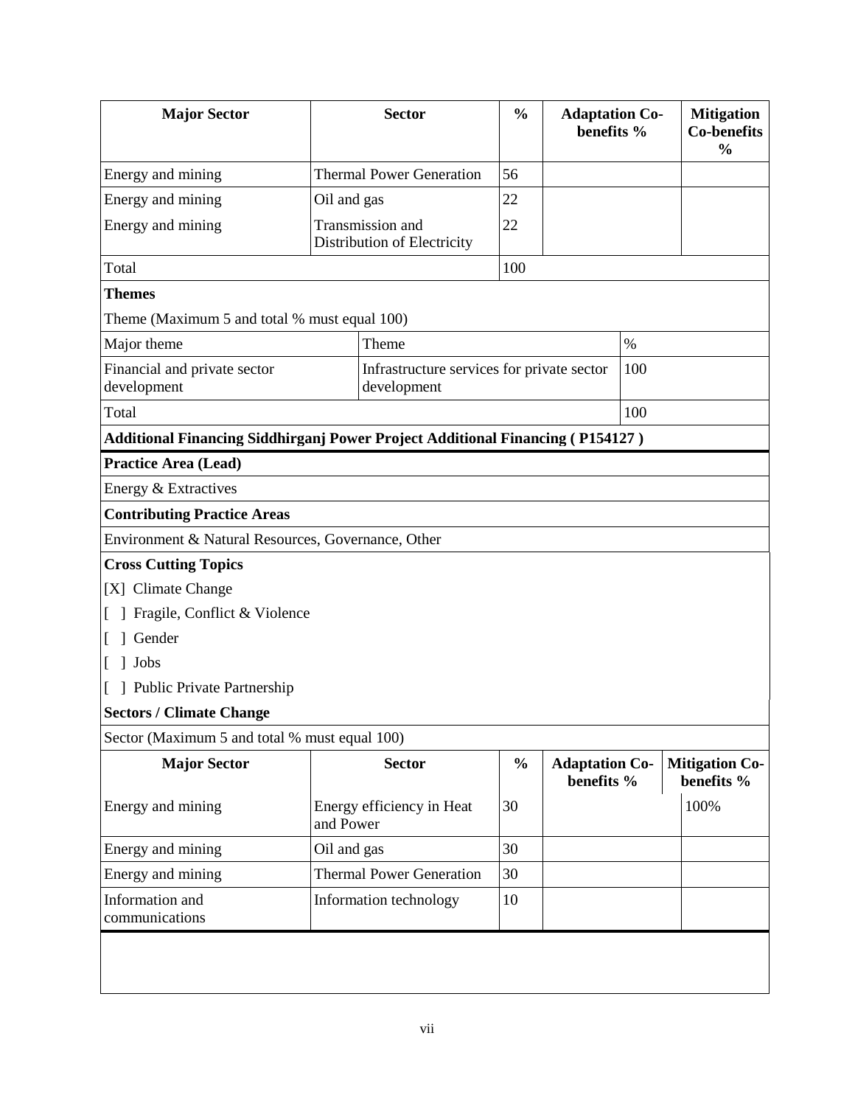| <b>Major Sector</b>                                                           |                                 | $\frac{0}{0}$<br><b>Sector</b>                            |               |                                     | <b>Adaptation Co-</b><br>benefits % |  | <b>Mitigation</b><br><b>Co-benefits</b><br>$\frac{0}{0}$ |
|-------------------------------------------------------------------------------|---------------------------------|-----------------------------------------------------------|---------------|-------------------------------------|-------------------------------------|--|----------------------------------------------------------|
| Energy and mining                                                             | <b>Thermal Power Generation</b> |                                                           | 56            |                                     |                                     |  |                                                          |
| Energy and mining                                                             | Oil and gas                     |                                                           | 22            |                                     |                                     |  |                                                          |
| Energy and mining                                                             |                                 | Transmission and<br>Distribution of Electricity           | 22            |                                     |                                     |  |                                                          |
| Total                                                                         |                                 |                                                           | 100           |                                     |                                     |  |                                                          |
| <b>Themes</b>                                                                 |                                 |                                                           |               |                                     |                                     |  |                                                          |
| Theme (Maximum 5 and total % must equal 100)                                  |                                 |                                                           |               |                                     |                                     |  |                                                          |
| Major theme                                                                   |                                 | Theme                                                     |               |                                     | $\%$                                |  |                                                          |
| Financial and private sector<br>development                                   |                                 | Infrastructure services for private sector<br>development |               |                                     | 100                                 |  |                                                          |
| Total                                                                         |                                 |                                                           |               |                                     | 100                                 |  |                                                          |
| Additional Financing Siddhirganj Power Project Additional Financing (P154127) |                                 |                                                           |               |                                     |                                     |  |                                                          |
| <b>Practice Area (Lead)</b>                                                   |                                 |                                                           |               |                                     |                                     |  |                                                          |
| Energy & Extractives                                                          |                                 |                                                           |               |                                     |                                     |  |                                                          |
| <b>Contributing Practice Areas</b>                                            |                                 |                                                           |               |                                     |                                     |  |                                                          |
| Environment & Natural Resources, Governance, Other                            |                                 |                                                           |               |                                     |                                     |  |                                                          |
| <b>Cross Cutting Topics</b>                                                   |                                 |                                                           |               |                                     |                                     |  |                                                          |
| [X] Climate Change                                                            |                                 |                                                           |               |                                     |                                     |  |                                                          |
| Fragile, Conflict & Violence                                                  |                                 |                                                           |               |                                     |                                     |  |                                                          |
| Gender                                                                        |                                 |                                                           |               |                                     |                                     |  |                                                          |
| ] Jobs                                                                        |                                 |                                                           |               |                                     |                                     |  |                                                          |
| ] Public Private Partnership                                                  |                                 |                                                           |               |                                     |                                     |  |                                                          |
| <b>Sectors / Climate Change</b>                                               |                                 |                                                           |               |                                     |                                     |  |                                                          |
| Sector (Maximum 5 and total % must equal 100)                                 |                                 |                                                           |               |                                     |                                     |  |                                                          |
| <b>Major Sector</b>                                                           |                                 | <b>Sector</b>                                             | $\frac{0}{0}$ | <b>Adaptation Co-</b><br>benefits % |                                     |  | <b>Mitigation Co-</b><br>benefits %                      |
| Energy and mining                                                             | and Power                       | Energy efficiency in Heat                                 | 30            |                                     |                                     |  | 100%                                                     |
| Energy and mining                                                             | Oil and gas                     |                                                           | 30            |                                     |                                     |  |                                                          |
| Energy and mining                                                             |                                 | <b>Thermal Power Generation</b>                           | 30            |                                     |                                     |  |                                                          |
| Information and<br>communications                                             |                                 | Information technology                                    | 10            |                                     |                                     |  |                                                          |
|                                                                               |                                 |                                                           |               |                                     |                                     |  |                                                          |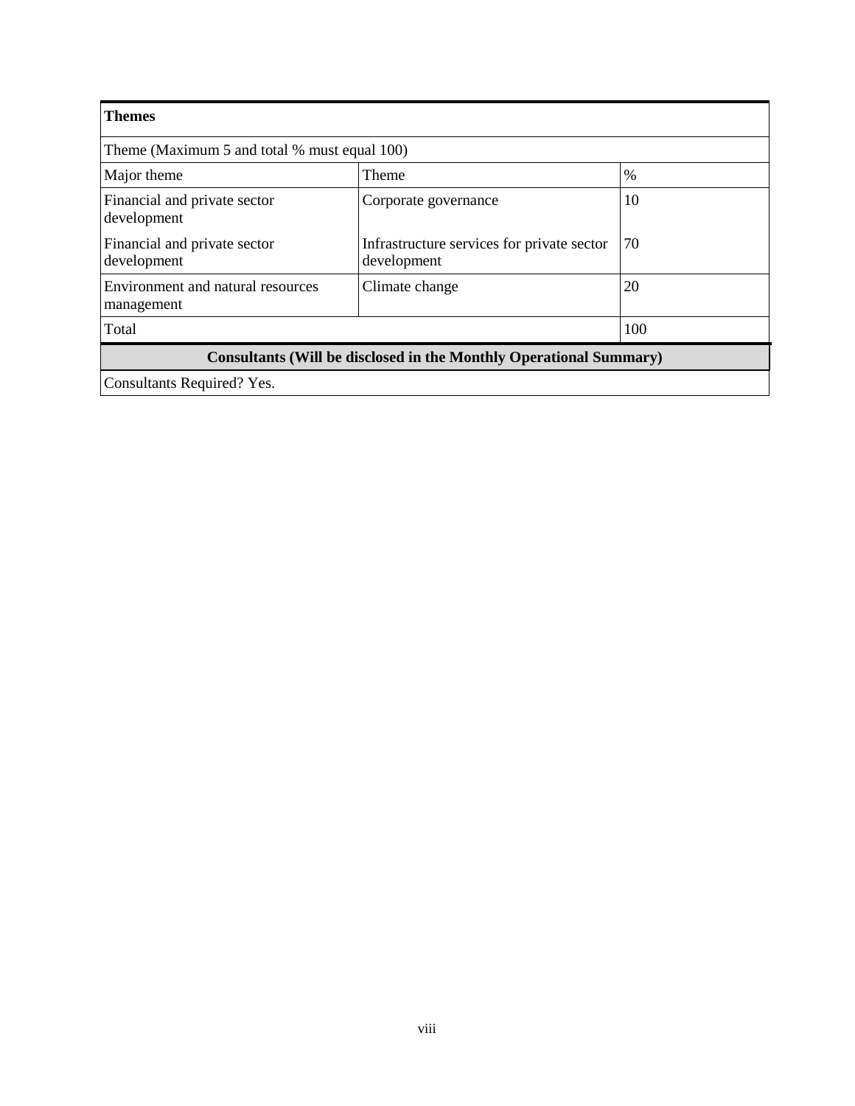| <b>Themes</b>                                                             |                                                           |      |  |  |  |  |  |
|---------------------------------------------------------------------------|-----------------------------------------------------------|------|--|--|--|--|--|
| Theme (Maximum 5 and total % must equal 100)                              |                                                           |      |  |  |  |  |  |
| Major theme                                                               | Theme                                                     | $\%$ |  |  |  |  |  |
| Financial and private sector<br>development                               | Corporate governance                                      | 10   |  |  |  |  |  |
| Financial and private sector<br>development                               | Infrastructure services for private sector<br>development | 70   |  |  |  |  |  |
| Environment and natural resources<br>management                           | Climate change                                            | 20   |  |  |  |  |  |
| Total                                                                     |                                                           | 100  |  |  |  |  |  |
| <b>Consultants (Will be disclosed in the Monthly Operational Summary)</b> |                                                           |      |  |  |  |  |  |
| Consultants Required? Yes.                                                |                                                           |      |  |  |  |  |  |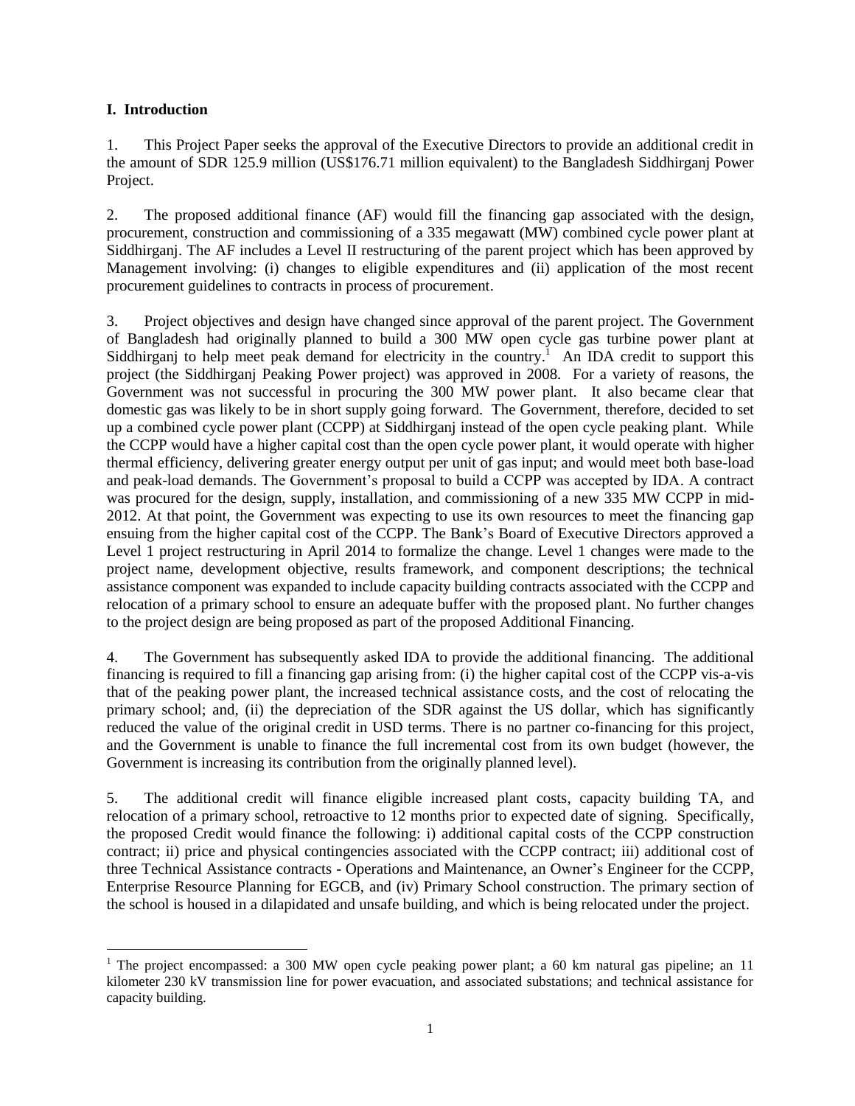## **I. Introduction**

1. This Project Paper seeks the approval of the Executive Directors to provide an additional credit in the amount of SDR 125.9 million (US\$176.71 million equivalent) to the Bangladesh Siddhirganj Power Project.

2. The proposed additional finance (AF) would fill the financing gap associated with the design, procurement, construction and commissioning of a 335 megawatt (MW) combined cycle power plant at Siddhirganj. The AF includes a Level II restructuring of the parent project which has been approved by Management involving: (i) changes to eligible expenditures and (ii) application of the most recent procurement guidelines to contracts in process of procurement.

3. Project objectives and design have changed since approval of the parent project. The Government of Bangladesh had originally planned to build a 300 MW open cycle gas turbine power plant at Siddhirganj to help meet peak demand for electricity in the country.<sup>1</sup> An IDA credit to support this project (the Siddhirganj Peaking Power project) was approved in 2008. For a variety of reasons, the Government was not successful in procuring the 300 MW power plant. It also became clear that domestic gas was likely to be in short supply going forward. The Government, therefore, decided to set up a combined cycle power plant (CCPP) at Siddhirganj instead of the open cycle peaking plant. While the CCPP would have a higher capital cost than the open cycle power plant, it would operate with higher thermal efficiency, delivering greater energy output per unit of gas input; and would meet both base-load and peak-load demands. The Government's proposal to build a CCPP was accepted by IDA. A contract was procured for the design, supply, installation, and commissioning of a new 335 MW CCPP in mid-2012. At that point, the Government was expecting to use its own resources to meet the financing gap ensuing from the higher capital cost of the CCPP. The Bank's Board of Executive Directors approved a Level 1 project restructuring in April 2014 to formalize the change. Level 1 changes were made to the project name, development objective, results framework, and component descriptions; the technical assistance component was expanded to include capacity building contracts associated with the CCPP and relocation of a primary school to ensure an adequate buffer with the proposed plant. No further changes to the project design are being proposed as part of the proposed Additional Financing.

4. The Government has subsequently asked IDA to provide the additional financing. The additional financing is required to fill a financing gap arising from: (i) the higher capital cost of the CCPP vis-a-vis that of the peaking power plant, the increased technical assistance costs, and the cost of relocating the primary school; and, (ii) the depreciation of the SDR against the US dollar, which has significantly reduced the value of the original credit in USD terms. There is no partner co-financing for this project, and the Government is unable to finance the full incremental cost from its own budget (however, the Government is increasing its contribution from the originally planned level).

5. The additional credit will finance eligible increased plant costs, capacity building TA, and relocation of a primary school, retroactive to 12 months prior to expected date of signing. Specifically, the proposed Credit would finance the following: i) additional capital costs of the CCPP construction contract; ii) price and physical contingencies associated with the CCPP contract; iii) additional cost of three Technical Assistance contracts - Operations and Maintenance, an Owner's Engineer for the CCPP, Enterprise Resource Planning for EGCB, and (iv) Primary School construction. The primary section of the school is housed in a dilapidated and unsafe building, and which is being relocated under the project.

 $\overline{a}$ <sup>1</sup> The project encompassed: a 300 MW open cycle peaking power plant; a 60 km natural gas pipeline; an 11 kilometer 230 kV transmission line for power evacuation, and associated substations; and technical assistance for capacity building.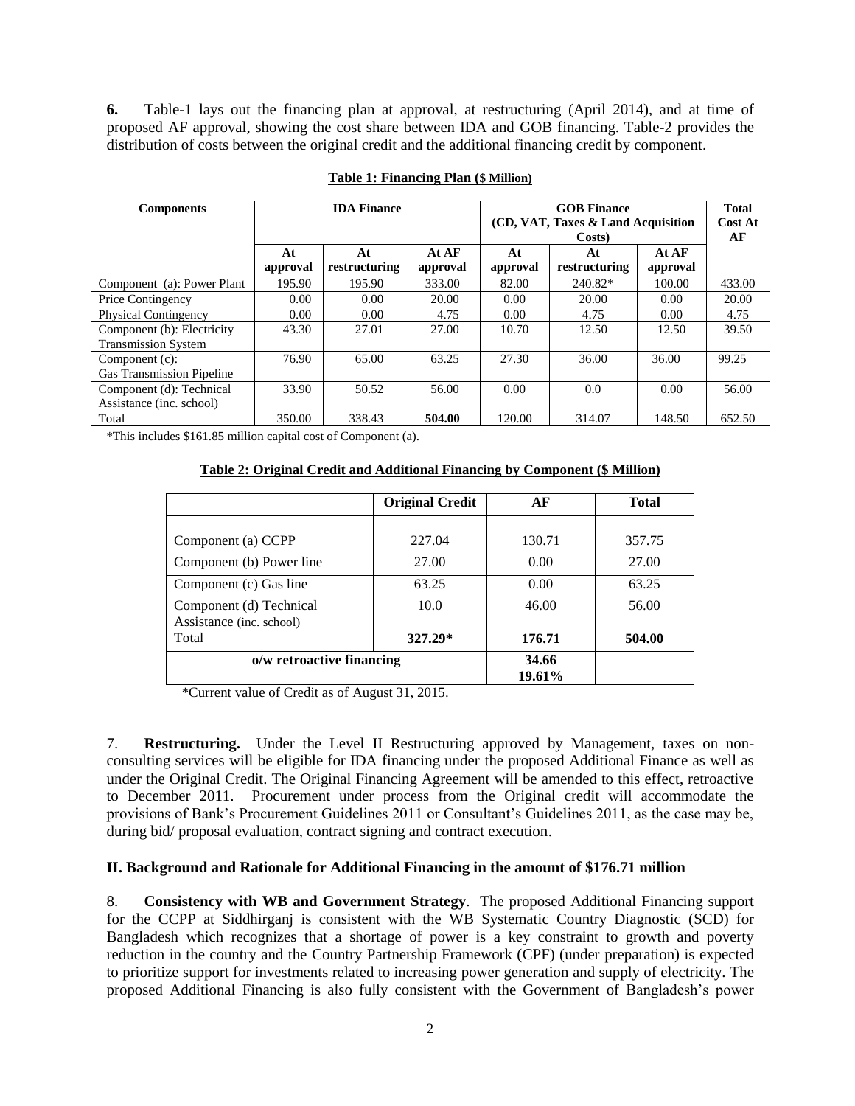**6.** Table-1 lays out the financing plan at approval, at restructuring (April 2014), and at time of proposed AF approval, showing the cost share between IDA and GOB financing. Table-2 provides the distribution of costs between the original credit and the additional financing credit by component.

| <b>Components</b>                | <b>IDA Finance</b> |               |          |          | <b>Total</b>                        |          |                |
|----------------------------------|--------------------|---------------|----------|----------|-------------------------------------|----------|----------------|
|                                  |                    |               |          |          | (CD, VAT, Taxes & Land Acquisition) |          | <b>Cost At</b> |
|                                  |                    |               |          |          | Costs)                              |          | АF             |
|                                  | At                 | At            | At AF    | At       | At                                  | At AF    |                |
|                                  | approval           | restructuring | approval | approval | restructuring                       | approval |                |
| Component (a): Power Plant       | 195.90             | 195.90        | 333.00   | 82.00    | 240.82*                             | 100.00   | 433.00         |
| <b>Price Contingency</b>         | 0.00               | 0.00          | 20.00    | 0.00     | 20.00                               | 0.00     | 20.00          |
| <b>Physical Contingency</b>      | 0.00               | 0.00          | 4.75     | 0.00     | 4.75                                | 0.00     | 4.75           |
| Component (b): Electricity       | 43.30              | 27.01         | 27.00    | 10.70    | 12.50                               | 12.50    | 39.50          |
| <b>Transmission System</b>       |                    |               |          |          |                                     |          |                |
| Component (c):                   | 76.90              | 65.00         | 63.25    | 27.30    | 36.00                               | 36.00    | 99.25          |
| <b>Gas Transmission Pipeline</b> |                    |               |          |          |                                     |          |                |
| Component (d): Technical         | 33.90              | 50.52         | 56.00    | 0.00     | 0.0                                 | 0.00     | 56.00          |
| Assistance (inc. school)         |                    |               |          |          |                                     |          |                |
| Total                            | 350.00             | 338.43        | 504.00   | 120.00   | 314.07                              | 148.50   | 652.50         |

## **Table 1: Financing Plan (\$ Million)**

\*This includes \$161.85 million capital cost of Component (a).

|                                                     | <b>Original Credit</b> | АF              | <b>Total</b> |
|-----------------------------------------------------|------------------------|-----------------|--------------|
|                                                     |                        |                 |              |
| Component (a) CCPP                                  | 227.04                 | 130.71          | 357.75       |
| Component (b) Power line                            | 27.00                  | 0.00            | 27.00        |
| Component (c) Gas line                              | 63.25                  | 0.00            | 63.25        |
| Component (d) Technical<br>Assistance (inc. school) | 10.0                   | 46.00           | 56.00        |
| Total                                               | 327.29*                | 176.71          | 504.00       |
| o/w retroactive financing                           |                        | 34.66<br>19.61% |              |

#### **Table 2: Original Credit and Additional Financing by Component (\$ Million)**

\*Current value of Credit as of August 31, 2015.

7. **Restructuring.** Under the Level II Restructuring approved by Management, taxes on nonconsulting services will be eligible for IDA financing under the proposed Additional Finance as well as under the Original Credit. The Original Financing Agreement will be amended to this effect, retroactive to December 2011. Procurement under process from the Original credit will accommodate the provisions of Bank's Procurement Guidelines 2011 or Consultant's Guidelines 2011, as the case may be, during bid/ proposal evaluation, contract signing and contract execution.

### **II. Background and Rationale for Additional Financing in the amount of \$176.71 million**

8. **Consistency with WB and Government Strategy**. The proposed Additional Financing support for the CCPP at Siddhirganj is consistent with the WB Systematic Country Diagnostic (SCD) for Bangladesh which recognizes that a shortage of power is a key constraint to growth and poverty reduction in the country and the Country Partnership Framework (CPF) (under preparation) is expected to prioritize support for investments related to increasing power generation and supply of electricity. The proposed Additional Financing is also fully consistent with the Government of Bangladesh's power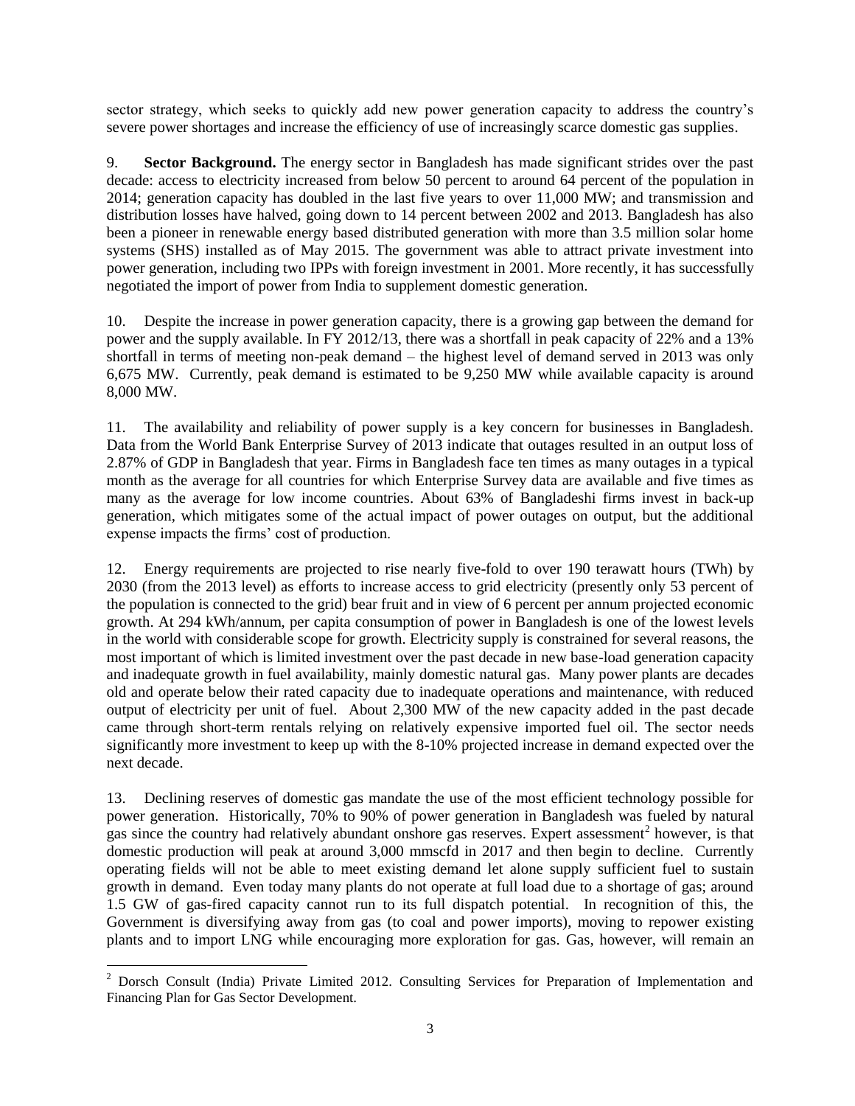sector strategy, which seeks to quickly add new power generation capacity to address the country's severe power shortages and increase the efficiency of use of increasingly scarce domestic gas supplies.

9. **Sector Background.** The energy sector in Bangladesh has made significant strides over the past decade: access to electricity increased from below 50 percent to around 64 percent of the population in 2014; generation capacity has doubled in the last five years to over 11,000 MW; and transmission and distribution losses have halved, going down to 14 percent between 2002 and 2013. Bangladesh has also been a pioneer in renewable energy based distributed generation with more than 3.5 million solar home systems (SHS) installed as of May 2015. The government was able to attract private investment into power generation, including two IPPs with foreign investment in 2001. More recently, it has successfully negotiated the import of power from India to supplement domestic generation.

10. Despite the increase in power generation capacity, there is a growing gap between the demand for power and the supply available. In FY 2012/13, there was a shortfall in peak capacity of 22% and a 13% shortfall in terms of meeting non-peak demand – the highest level of demand served in 2013 was only 6,675 MW. Currently, peak demand is estimated to be 9,250 MW while available capacity is around 8,000 MW.

11. The availability and reliability of power supply is a key concern for businesses in Bangladesh. Data from the World Bank Enterprise Survey of 2013 indicate that outages resulted in an output loss of 2.87% of GDP in Bangladesh that year. Firms in Bangladesh face ten times as many outages in a typical month as the average for all countries for which Enterprise Survey data are available and five times as many as the average for low income countries. About 63% of Bangladeshi firms invest in back-up generation, which mitigates some of the actual impact of power outages on output, but the additional expense impacts the firms' cost of production.

12. Energy requirements are projected to rise nearly five-fold to over 190 terawatt hours (TWh) by 2030 (from the 2013 level) as efforts to increase access to grid electricity (presently only 53 percent of the population is connected to the grid) bear fruit and in view of 6 percent per annum projected economic growth. At 294 kWh/annum, per capita consumption of power in Bangladesh is one of the lowest levels in the world with considerable scope for growth. Electricity supply is constrained for several reasons, the most important of which is limited investment over the past decade in new base-load generation capacity and inadequate growth in fuel availability, mainly domestic natural gas. Many power plants are decades old and operate below their rated capacity due to inadequate operations and maintenance, with reduced output of electricity per unit of fuel. About 2,300 MW of the new capacity added in the past decade came through short-term rentals relying on relatively expensive imported fuel oil. The sector needs significantly more investment to keep up with the 8-10% projected increase in demand expected over the next decade.

13. Declining reserves of domestic gas mandate the use of the most efficient technology possible for power generation. Historically, 70% to 90% of power generation in Bangladesh was fueled by natural gas since the country had relatively abundant onshore gas reserves. Expert assessment<sup>2</sup> however, is that domestic production will peak at around 3,000 mmscfd in 2017 and then begin to decline. Currently operating fields will not be able to meet existing demand let alone supply sufficient fuel to sustain growth in demand. Even today many plants do not operate at full load due to a shortage of gas; around 1.5 GW of gas-fired capacity cannot run to its full dispatch potential. In recognition of this, the Government is diversifying away from gas (to coal and power imports), moving to repower existing plants and to import LNG while encouraging more exploration for gas. Gas, however, will remain an

 $2^2$  Dorsch Consult (India) Private Limited 2012. Consulting Services for Preparation of Implementation and Financing Plan for Gas Sector Development.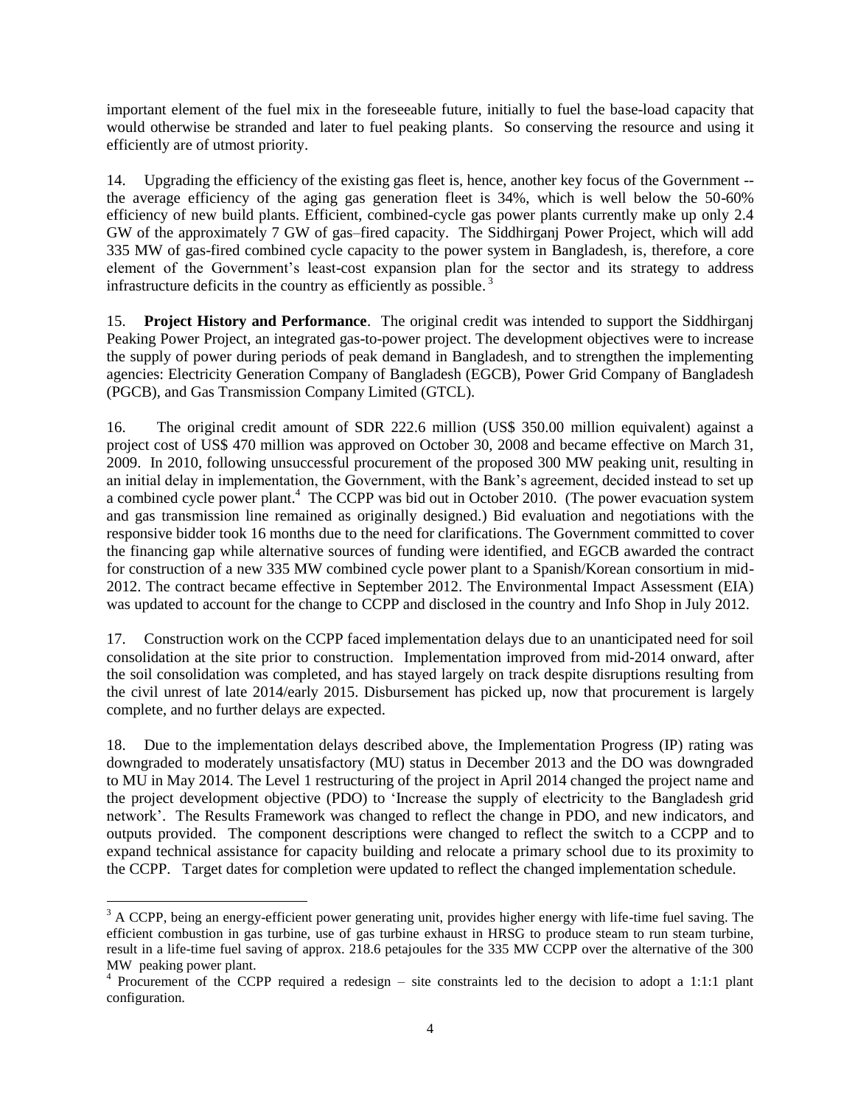important element of the fuel mix in the foreseeable future, initially to fuel the base-load capacity that would otherwise be stranded and later to fuel peaking plants. So conserving the resource and using it efficiently are of utmost priority.

14. Upgrading the efficiency of the existing gas fleet is, hence, another key focus of the Government - the average efficiency of the aging gas generation fleet is 34%, which is well below the 50-60% efficiency of new build plants. Efficient, combined-cycle gas power plants currently make up only 2.4 GW of the approximately 7 GW of gas–fired capacity. The Siddhirganj Power Project, which will add 335 MW of gas-fired combined cycle capacity to the power system in Bangladesh, is, therefore, a core element of the Government's least-cost expansion plan for the sector and its strategy to address infrastructure deficits in the country as efficiently as possible.<sup>3</sup>

15. **Project History and Performance**. The original credit was intended to support the Siddhirganj Peaking Power Project, an integrated gas-to-power project. The development objectives were to increase the supply of power during periods of peak demand in Bangladesh, and to strengthen the implementing agencies: Electricity Generation Company of Bangladesh (EGCB), Power Grid Company of Bangladesh (PGCB), and Gas Transmission Company Limited (GTCL).

16. The original credit amount of SDR 222.6 million (US\$ 350.00 million equivalent) against a project cost of US\$ 470 million was approved on October 30, 2008 and became effective on March 31, 2009. In 2010, following unsuccessful procurement of the proposed 300 MW peaking unit, resulting in an initial delay in implementation, the Government, with the Bank's agreement, decided instead to set up a combined cycle power plant.<sup>4</sup> The CCPP was bid out in October 2010. (The power evacuation system and gas transmission line remained as originally designed.) Bid evaluation and negotiations with the responsive bidder took 16 months due to the need for clarifications. The Government committed to cover the financing gap while alternative sources of funding were identified, and EGCB awarded the contract for construction of a new 335 MW combined cycle power plant to a Spanish/Korean consortium in mid-2012. The contract became effective in September 2012. The Environmental Impact Assessment (EIA) was updated to account for the change to CCPP and disclosed in the country and Info Shop in July 2012.

17. Construction work on the CCPP faced implementation delays due to an unanticipated need for soil consolidation at the site prior to construction. Implementation improved from mid-2014 onward, after the soil consolidation was completed, and has stayed largely on track despite disruptions resulting from the civil unrest of late 2014/early 2015. Disbursement has picked up, now that procurement is largely complete, and no further delays are expected.

18. Due to the implementation delays described above, the Implementation Progress (IP) rating was downgraded to moderately unsatisfactory (MU) status in December 2013 and the DO was downgraded to MU in May 2014. The Level 1 restructuring of the project in April 2014 changed the project name and the project development objective (PDO) to 'Increase the supply of electricity to the Bangladesh grid network'. The Results Framework was changed to reflect the change in PDO, and new indicators, and outputs provided. The component descriptions were changed to reflect the switch to a CCPP and to expand technical assistance for capacity building and relocate a primary school due to its proximity to the CCPP. Target dates for completion were updated to reflect the changed implementation schedule.

<sup>&</sup>lt;sup>3</sup> A CCPP, being an energy-efficient power generating unit, provides higher energy with life-time fuel saving. The efficient combustion in gas turbine, use of gas turbine exhaust in HRSG to produce steam to run steam turbine, result in a life-time fuel saving of approx. 218.6 petajoules for the 335 MW CCPP over the alternative of the 300 MW peaking power plant.

<sup>&</sup>lt;sup>4</sup> Procurement of the CCPP required a redesign – site constraints led to the decision to adopt a 1:1:1 plant configuration.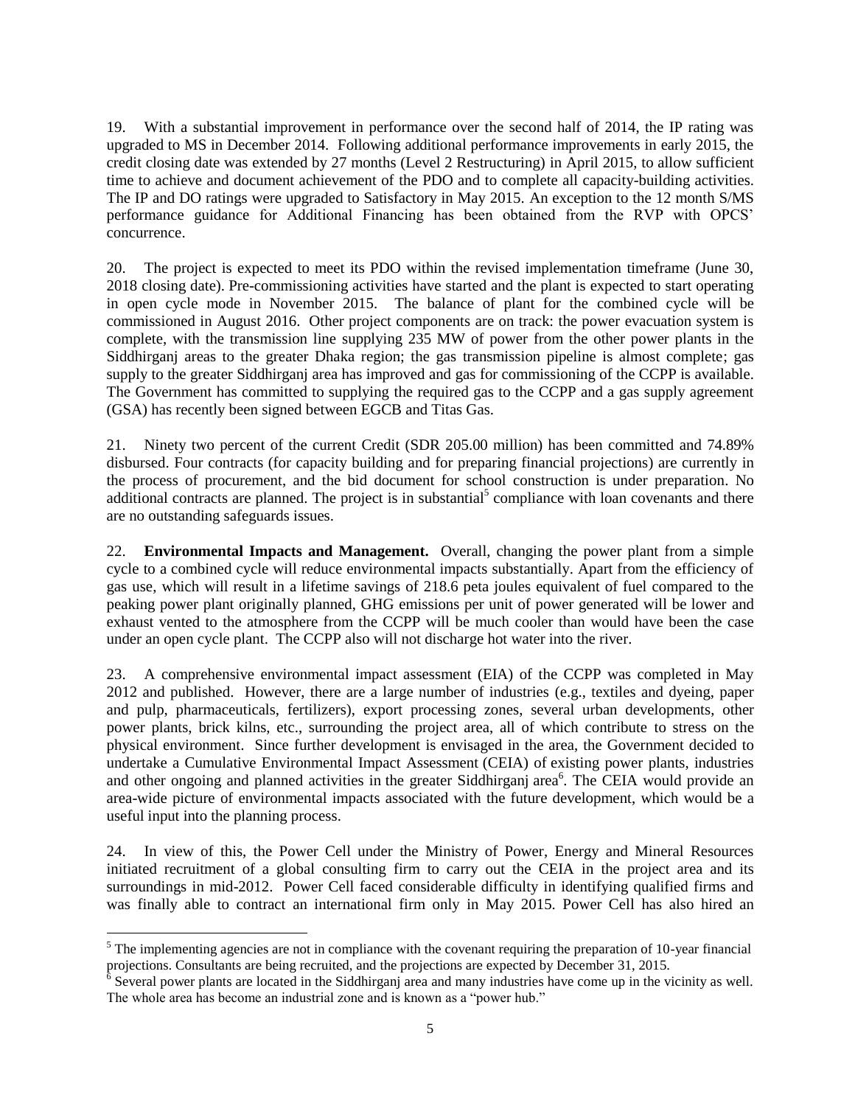19. With a substantial improvement in performance over the second half of 2014, the IP rating was upgraded to MS in December 2014. Following additional performance improvements in early 2015, the credit closing date was extended by 27 months (Level 2 Restructuring) in April 2015, to allow sufficient time to achieve and document achievement of the PDO and to complete all capacity-building activities. The IP and DO ratings were upgraded to Satisfactory in May 2015. An exception to the 12 month S/MS performance guidance for Additional Financing has been obtained from the RVP with OPCS' concurrence.

20. The project is expected to meet its PDO within the revised implementation timeframe (June 30, 2018 closing date). Pre-commissioning activities have started and the plant is expected to start operating in open cycle mode in November 2015. The balance of plant for the combined cycle will be commissioned in August 2016. Other project components are on track: the power evacuation system is complete, with the transmission line supplying 235 MW of power from the other power plants in the Siddhirganj areas to the greater Dhaka region; the gas transmission pipeline is almost complete; gas supply to the greater Siddhirganj area has improved and gas for commissioning of the CCPP is available. The Government has committed to supplying the required gas to the CCPP and a gas supply agreement (GSA) has recently been signed between EGCB and Titas Gas.

21. Ninety two percent of the current Credit (SDR 205.00 million) has been committed and 74.89% disbursed. Four contracts (for capacity building and for preparing financial projections) are currently in the process of procurement, and the bid document for school construction is under preparation. No additional contracts are planned. The project is in substantial<sup>5</sup> compliance with loan covenants and there are no outstanding safeguards issues.

22. **Environmental Impacts and Management.** Overall, changing the power plant from a simple cycle to a combined cycle will reduce environmental impacts substantially. Apart from the efficiency of gas use, which will result in a lifetime savings of 218.6 peta joules equivalent of fuel compared to the peaking power plant originally planned, GHG emissions per unit of power generated will be lower and exhaust vented to the atmosphere from the CCPP will be much cooler than would have been the case under an open cycle plant. The CCPP also will not discharge hot water into the river.

23. A comprehensive environmental impact assessment (EIA) of the CCPP was completed in May 2012 and published. However, there are a large number of industries (e.g., textiles and dyeing, paper and pulp, pharmaceuticals, fertilizers), export processing zones, several urban developments, other power plants, brick kilns, etc., surrounding the project area, all of which contribute to stress on the physical environment. Since further development is envisaged in the area, the Government decided to undertake a Cumulative Environmental Impact Assessment (CEIA) of existing power plants, industries and other ongoing and planned activities in the greater Siddhirganj area<sup>6</sup>. The CEIA would provide an area-wide picture of environmental impacts associated with the future development, which would be a useful input into the planning process.

24. In view of this, the Power Cell under the Ministry of Power, Energy and Mineral Resources initiated recruitment of a global consulting firm to carry out the CEIA in the project area and its surroundings in mid-2012. Power Cell faced considerable difficulty in identifying qualified firms and was finally able to contract an international firm only in May 2015. Power Cell has also hired an

 $<sup>5</sup>$  The implementing agencies are not in compliance with the covenant requiring the preparation of 10-year financial</sup> projections. Consultants are being recruited, and the projections are expected by December 31, 2015.<br><sup>6</sup> Several power plants are located in the Siddhirganj area and many industries have come up in the vicinity as well.

The whole area has become an industrial zone and is known as a "power hub."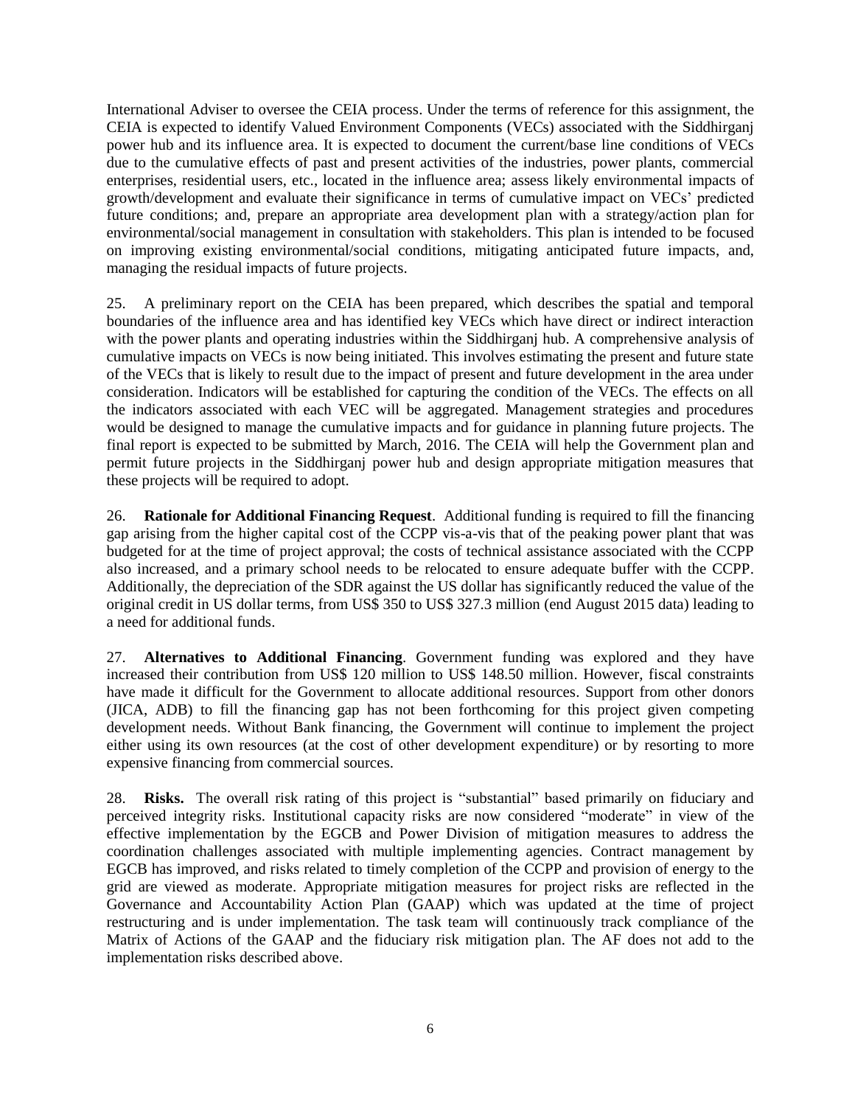International Adviser to oversee the CEIA process. Under the terms of reference for this assignment, the CEIA is expected to identify Valued Environment Components (VECs) associated with the Siddhirganj power hub and its influence area. It is expected to document the current/base line conditions of VECs due to the cumulative effects of past and present activities of the industries, power plants, commercial enterprises, residential users, etc., located in the influence area; assess likely environmental impacts of growth/development and evaluate their significance in terms of cumulative impact on VECs' predicted future conditions; and, prepare an appropriate area development plan with a strategy/action plan for environmental/social management in consultation with stakeholders. This plan is intended to be focused on improving existing environmental/social conditions, mitigating anticipated future impacts, and, managing the residual impacts of future projects.

25. A preliminary report on the CEIA has been prepared, which describes the spatial and temporal boundaries of the influence area and has identified key VECs which have direct or indirect interaction with the power plants and operating industries within the Siddhirganj hub. A comprehensive analysis of cumulative impacts on VECs is now being initiated. This involves estimating the present and future state of the VECs that is likely to result due to the impact of present and future development in the area under consideration. Indicators will be established for capturing the condition of the VECs. The effects on all the indicators associated with each VEC will be aggregated. Management strategies and procedures would be designed to manage the cumulative impacts and for guidance in planning future projects. The final report is expected to be submitted by March, 2016. The CEIA will help the Government plan and permit future projects in the Siddhirganj power hub and design appropriate mitigation measures that these projects will be required to adopt.

26. **Rationale for Additional Financing Request**. Additional funding is required to fill the financing gap arising from the higher capital cost of the CCPP vis-a-vis that of the peaking power plant that was budgeted for at the time of project approval; the costs of technical assistance associated with the CCPP also increased, and a primary school needs to be relocated to ensure adequate buffer with the CCPP. Additionally, the depreciation of the SDR against the US dollar has significantly reduced the value of the original credit in US dollar terms, from US\$ 350 to US\$ 327.3 million (end August 2015 data) leading to a need for additional funds.

27. **Alternatives to Additional Financing**. Government funding was explored and they have increased their contribution from US\$ 120 million to US\$ 148.50 million. However, fiscal constraints have made it difficult for the Government to allocate additional resources. Support from other donors (JICA, ADB) to fill the financing gap has not been forthcoming for this project given competing development needs. Without Bank financing, the Government will continue to implement the project either using its own resources (at the cost of other development expenditure) or by resorting to more expensive financing from commercial sources.

28. **Risks.** The overall risk rating of this project is "substantial" based primarily on fiduciary and perceived integrity risks. Institutional capacity risks are now considered "moderate" in view of the effective implementation by the EGCB and Power Division of mitigation measures to address the coordination challenges associated with multiple implementing agencies. Contract management by EGCB has improved, and risks related to timely completion of the CCPP and provision of energy to the grid are viewed as moderate. Appropriate mitigation measures for project risks are reflected in the Governance and Accountability Action Plan (GAAP) which was updated at the time of project restructuring and is under implementation. The task team will continuously track compliance of the Matrix of Actions of the GAAP and the fiduciary risk mitigation plan. The AF does not add to the implementation risks described above.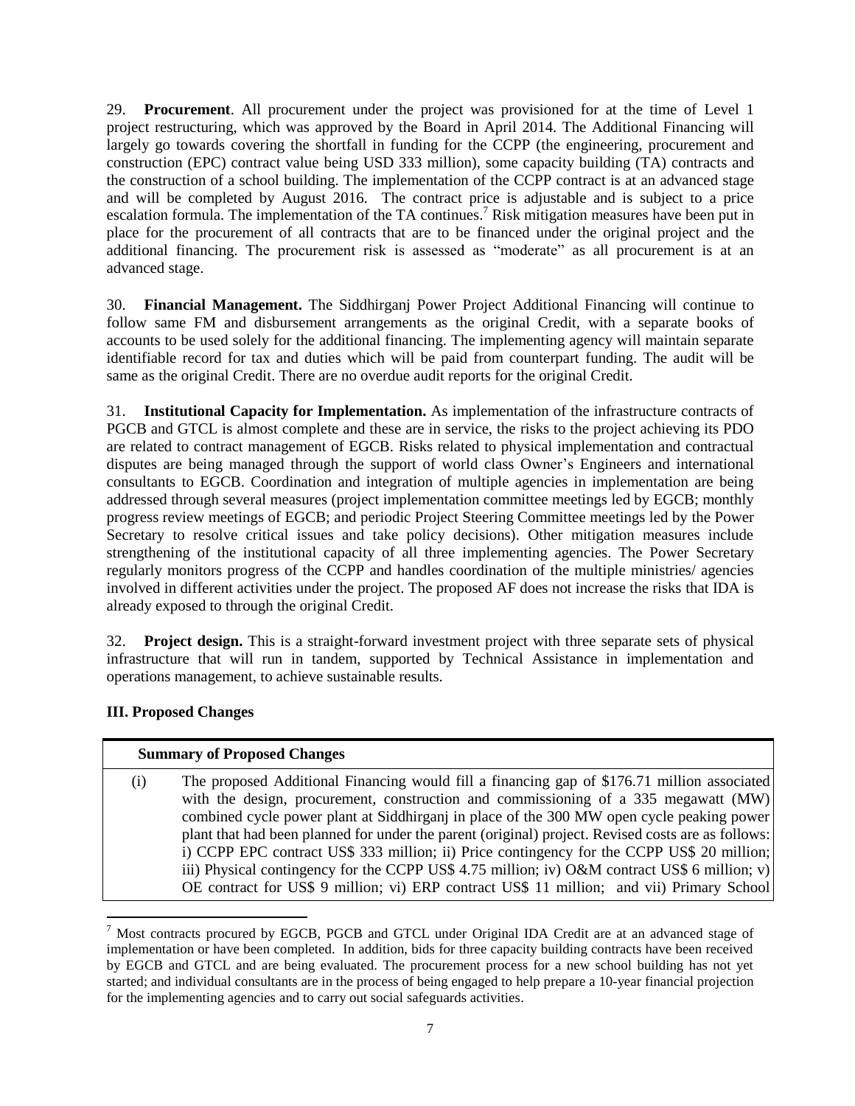29. **Procurement**. All procurement under the project was provisioned for at the time of Level 1 project restructuring, which was approved by the Board in April 2014. The Additional Financing will largely go towards covering the shortfall in funding for the CCPP (the engineering, procurement and construction (EPC) contract value being USD 333 million), some capacity building (TA) contracts and the construction of a school building. The implementation of the CCPP contract is at an advanced stage and will be completed by August 2016. The contract price is adjustable and is subject to a price escalation formula. The implementation of the TA continues.<sup>7</sup> Risk mitigation measures have been put in place for the procurement of all contracts that are to be financed under the original project and the additional financing. The procurement risk is assessed as "moderate" as all procurement is at an advanced stage.

30. **Financial Management.** The Siddhirganj Power Project Additional Financing will continue to follow same FM and disbursement arrangements as the original Credit, with a separate books of accounts to be used solely for the additional financing. The implementing agency will maintain separate identifiable record for tax and duties which will be paid from counterpart funding. The audit will be same as the original Credit. There are no overdue audit reports for the original Credit.

31. **Institutional Capacity for Implementation.** As implementation of the infrastructure contracts of PGCB and GTCL is almost complete and these are in service, the risks to the project achieving its PDO are related to contract management of EGCB. Risks related to physical implementation and contractual disputes are being managed through the support of world class Owner's Engineers and international consultants to EGCB. Coordination and integration of multiple agencies in implementation are being addressed through several measures (project implementation committee meetings led by EGCB; monthly progress review meetings of EGCB; and periodic Project Steering Committee meetings led by the Power Secretary to resolve critical issues and take policy decisions). Other mitigation measures include strengthening of the institutional capacity of all three implementing agencies. The Power Secretary regularly monitors progress of the CCPP and handles coordination of the multiple ministries/ agencies involved in different activities under the project. The proposed AF does not increase the risks that IDA is already exposed to through the original Credit.

32. **Project design.** This is a straight-forward investment project with three separate sets of physical infrastructure that will run in tandem, supported by Technical Assistance in implementation and operations management, to achieve sustainable results.

### **III. Proposed Changes**

 $\overline{a}$ 

### **Summary of Proposed Changes**

(i) The proposed Additional Financing would fill a financing gap of \$176.71 million associated with the design, procurement, construction and commissioning of a 335 megawatt (MW) combined cycle power plant at Siddhirganj in place of the 300 MW open cycle peaking power plant that had been planned for under the parent (original) project. Revised costs are as follows: i) CCPP EPC contract US\$ 333 million; ii) Price contingency for the CCPP US\$ 20 million; iii) Physical contingency for the CCPP US\$ 4.75 million; iv) O&M contract US\$ 6 million; v) OE contract for US\$ 9 million; vi) ERP contract US\$ 11 million; and vii) Primary School

 $7$  Most contracts procured by EGCB, PGCB and GTCL under Original IDA Credit are at an advanced stage of implementation or have been completed. In addition, bids for three capacity building contracts have been received by EGCB and GTCL and are being evaluated. The procurement process for a new school building has not yet started; and individual consultants are in the process of being engaged to help prepare a 10-year financial projection for the implementing agencies and to carry out social safeguards activities.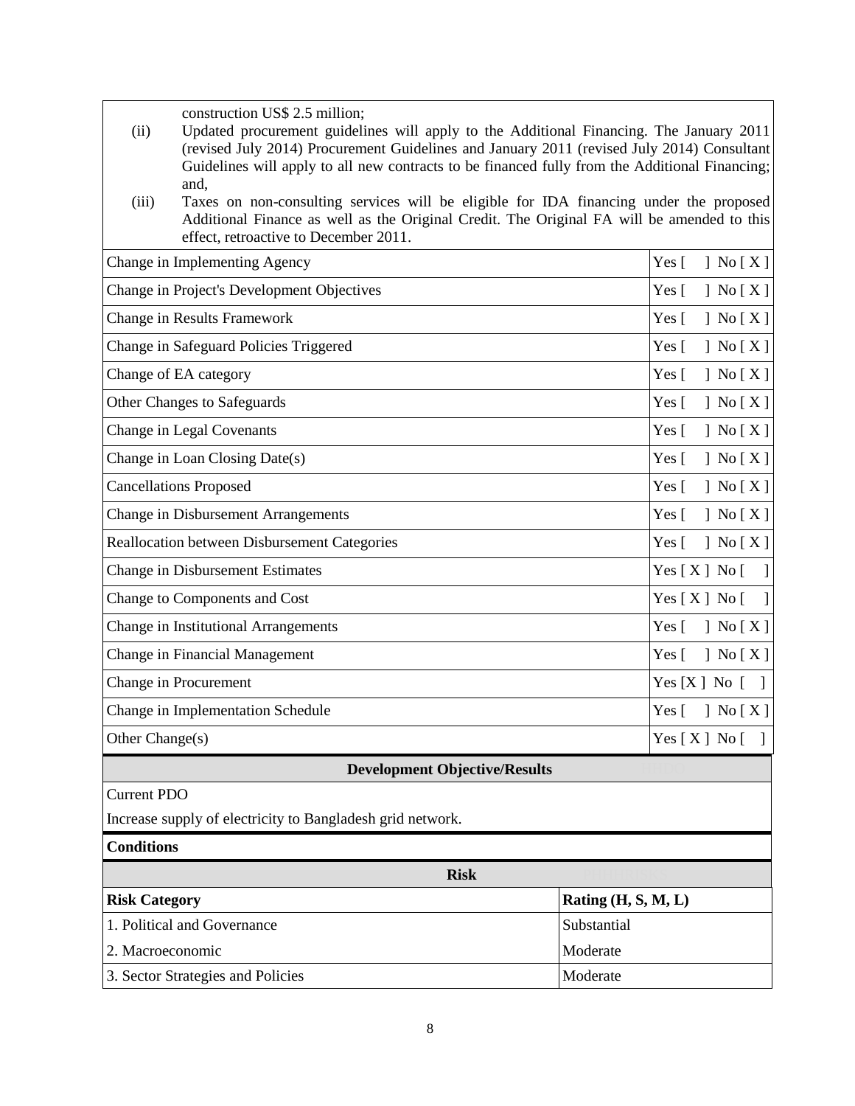construction US\$ 2.5 million;

- (ii) Updated procurement guidelines will apply to the Additional Financing. The January 2011 (revised July 2014) Procurement Guidelines and January 2011 (revised July 2014) Consultant Guidelines will apply to all new contracts to be financed fully from the Additional Financing; and,
- (iii) Taxes on non-consulting services will be eligible for IDA financing under the proposed Additional Finance as well as the Original Credit. The Original FA will be amended to this effect, retroactive to December 2011.

| Change in Implementing Agency                              | Yes [<br>] No [ X ]                                                         |
|------------------------------------------------------------|-----------------------------------------------------------------------------|
| Change in Project's Development Objectives                 | Yes [<br>$\left\vert \right.$ No $\left[ \right.$ X $\left. \right]$        |
| Change in Results Framework                                | $J$ No $[X]$<br>Yes [                                                       |
| Change in Safeguard Policies Triggered                     | Yes [<br>$\left\vert \right.$ No $\left[ \right.$ X $\left. \right]$        |
| Change of EA category                                      | Yes $\lceil$<br>$\left\vert \right.$ No $\left[ \right.$ X $\left. \right]$ |
| Other Changes to Safeguards                                | $J$ No $[X]$<br>Yes [                                                       |
| Change in Legal Covenants                                  | Yes [<br>$\left\vert \right.$ No $\left[ \right.$ X $\left. \right]$        |
| Change in Loan Closing Date(s)                             | Yes [<br>$\left\vert \right.$ No $\left[ \right.$ X $\left. \right]$        |
| <b>Cancellations Proposed</b>                              | Yes [<br>$\left\vert \right.$ No $\left[ \right.$ X $\left. \right]$        |
| <b>Change in Disbursement Arrangements</b>                 | $J$ No $[X]$<br>Yes $\lceil$                                                |
| Reallocation between Disbursement Categories               | Yes $\lceil$<br>$\left\vert \right.$ No $\left[ \right.$ X $\left. \right]$ |
| <b>Change in Disbursement Estimates</b>                    | Yes $[X]$ No $[$<br>1                                                       |
| Change to Components and Cost                              | Yes $[X]$ No $[$                                                            |
| Change in Institutional Arrangements                       | Yes $\lceil$<br>$\left\vert \right.$ No $\left[ \right.$ X $\left. \right]$ |
| Change in Financial Management                             | Yes [<br>$\left\vert \right.$ No $\left[ \right.$ X $\left. \right]$        |
| Change in Procurement                                      | Yes $[X]$ No $[$                                                            |
| Change in Implementation Schedule                          | Yes $\lceil$<br>$\left\vert \right.$ No $\left[ \right.$ X $\left. \right]$ |
| Other Change(s)                                            | Yes [ X ] No [                                                              |
| <b>Development Objective/Results</b>                       |                                                                             |
| <b>Current PDO</b>                                         |                                                                             |
| Increase supply of electricity to Bangladesh grid network. |                                                                             |
| <b>Conditions</b>                                          |                                                                             |
|                                                            | <b>Risk</b>                                                                 |
| <b>Risk Category</b>                                       | Rating (H, S, M, L)                                                         |
| 1. Political and Governance                                | Substantial                                                                 |
| 2. Macroeconomic                                           | Moderate                                                                    |
| 3. Sector Strategies and Policies                          | Moderate                                                                    |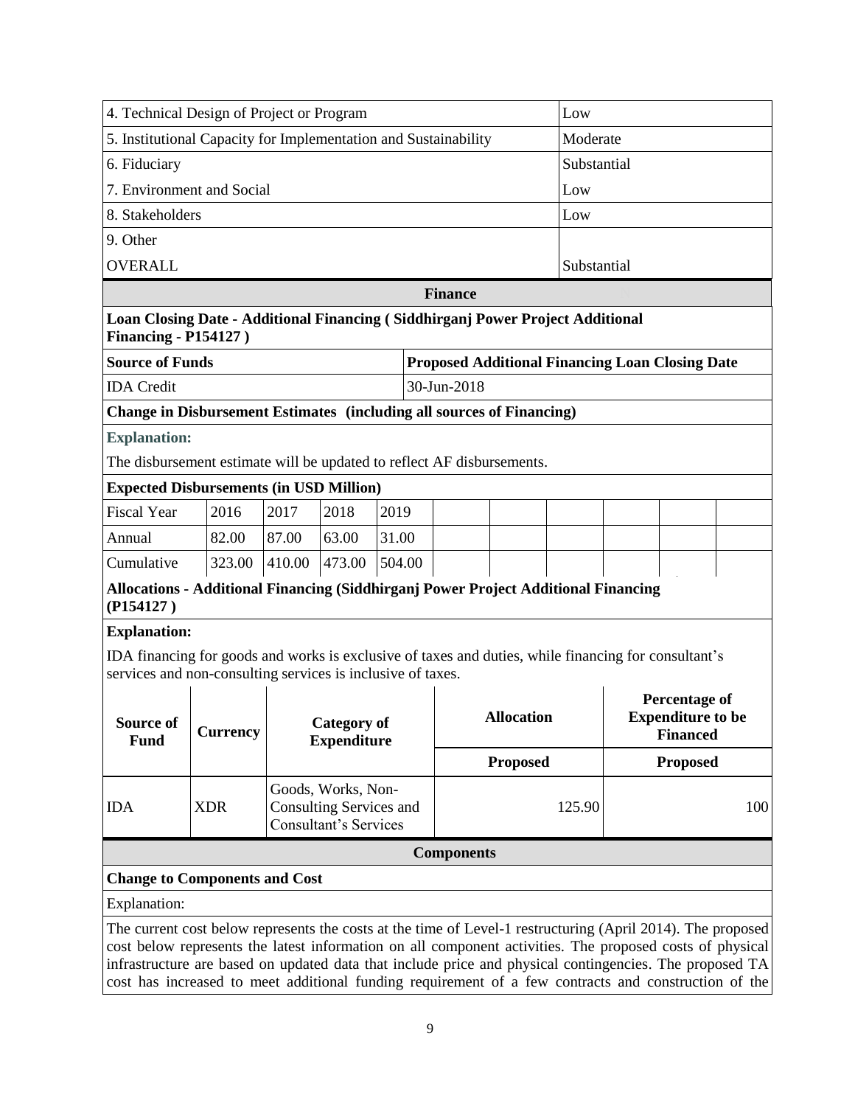|                                                                                                                                                                                                                                                                                                                                                                                                                                            |                 |                                                                               |                                          |        |            |                   |                 | Low                                                          |  |                 |  |
|--------------------------------------------------------------------------------------------------------------------------------------------------------------------------------------------------------------------------------------------------------------------------------------------------------------------------------------------------------------------------------------------------------------------------------------------|-----------------|-------------------------------------------------------------------------------|------------------------------------------|--------|------------|-------------------|-----------------|--------------------------------------------------------------|--|-----------------|--|
| 4. Technical Design of Project or Program<br>5. Institutional Capacity for Implementation and Sustainability                                                                                                                                                                                                                                                                                                                               |                 |                                                                               |                                          |        |            |                   | Moderate        |                                                              |  |                 |  |
| 6. Fiduciary                                                                                                                                                                                                                                                                                                                                                                                                                               |                 |                                                                               |                                          |        |            |                   | Substantial     |                                                              |  |                 |  |
| 7. Environment and Social                                                                                                                                                                                                                                                                                                                                                                                                                  |                 |                                                                               |                                          |        |            |                   |                 | Low                                                          |  |                 |  |
| 8. Stakeholders                                                                                                                                                                                                                                                                                                                                                                                                                            |                 |                                                                               |                                          |        |            |                   |                 | Low                                                          |  |                 |  |
| 9. Other                                                                                                                                                                                                                                                                                                                                                                                                                                   |                 |                                                                               |                                          |        |            |                   |                 |                                                              |  |                 |  |
| <b>OVERALL</b>                                                                                                                                                                                                                                                                                                                                                                                                                             |                 |                                                                               |                                          |        |            |                   |                 | Substantial                                                  |  |                 |  |
|                                                                                                                                                                                                                                                                                                                                                                                                                                            |                 |                                                                               |                                          |        |            |                   |                 |                                                              |  |                 |  |
| Loan Closing Date - Additional Financing (Siddhirganj Power Project Additional<br><b>Financing - P154127</b> )                                                                                                                                                                                                                                                                                                                             |                 |                                                                               |                                          |        |            | <b>Finance</b>    |                 |                                                              |  |                 |  |
| <b>Source of Funds</b>                                                                                                                                                                                                                                                                                                                                                                                                                     |                 |                                                                               |                                          |        |            |                   |                 | <b>Proposed Additional Financing Loan Closing Date</b>       |  |                 |  |
| <b>IDA</b> Credit                                                                                                                                                                                                                                                                                                                                                                                                                          |                 |                                                                               |                                          |        |            | 30-Jun-2018       |                 |                                                              |  |                 |  |
| <b>Change in Disbursement Estimates (including all sources of Financing)</b>                                                                                                                                                                                                                                                                                                                                                               |                 |                                                                               |                                          |        |            |                   |                 |                                                              |  |                 |  |
| <b>Explanation:</b>                                                                                                                                                                                                                                                                                                                                                                                                                        |                 |                                                                               |                                          |        |            |                   |                 |                                                              |  |                 |  |
| The disbursement estimate will be updated to reflect AF disbursements.                                                                                                                                                                                                                                                                                                                                                                     |                 |                                                                               |                                          |        |            |                   |                 |                                                              |  |                 |  |
| <b>Expected Disbursements (in USD Million)</b>                                                                                                                                                                                                                                                                                                                                                                                             |                 |                                                                               |                                          |        |            |                   |                 |                                                              |  |                 |  |
| <b>Fiscal Year</b>                                                                                                                                                                                                                                                                                                                                                                                                                         | 2016            | 2017                                                                          | 2018                                     | 2019   |            |                   |                 |                                                              |  |                 |  |
| Annual                                                                                                                                                                                                                                                                                                                                                                                                                                     | 82.00           | 87.00                                                                         | 63.00                                    | 31.00  |            |                   |                 |                                                              |  |                 |  |
| Cumulative                                                                                                                                                                                                                                                                                                                                                                                                                                 | 323.00          | 410.00                                                                        | 473.00                                   | 504.00 |            |                   |                 |                                                              |  |                 |  |
| Allocations - Additional Financing (Siddhirganj Power Project Additional Financing<br>(P154127)                                                                                                                                                                                                                                                                                                                                            |                 |                                                                               |                                          |        |            |                   |                 |                                                              |  |                 |  |
| <b>Explanation:</b>                                                                                                                                                                                                                                                                                                                                                                                                                        |                 |                                                                               |                                          |        |            |                   |                 |                                                              |  |                 |  |
| IDA financing for goods and works is exclusive of taxes and duties, while financing for consultant's<br>services and non-consulting services is inclusive of taxes.                                                                                                                                                                                                                                                                        |                 |                                                                               |                                          |        |            |                   |                 |                                                              |  |                 |  |
| Source of<br><b>Fund</b>                                                                                                                                                                                                                                                                                                                                                                                                                   | <b>Currency</b> |                                                                               | <b>Category of</b><br><b>Expenditure</b> |        | Allocation |                   |                 | Percentage of<br><b>Expenditure to be</b><br><b>Financed</b> |  |                 |  |
|                                                                                                                                                                                                                                                                                                                                                                                                                                            |                 |                                                                               |                                          |        |            |                   | <b>Proposed</b> |                                                              |  | <b>Proposed</b> |  |
| <b>IDA</b>                                                                                                                                                                                                                                                                                                                                                                                                                                 | <b>XDR</b>      | Goods, Works, Non-<br>Consulting Services and<br><b>Consultant's Services</b> |                                          |        |            |                   | 125.90          |                                                              |  | 100             |  |
|                                                                                                                                                                                                                                                                                                                                                                                                                                            |                 |                                                                               |                                          |        |            | <b>Components</b> |                 |                                                              |  |                 |  |
| <b>Change to Components and Cost</b>                                                                                                                                                                                                                                                                                                                                                                                                       |                 |                                                                               |                                          |        |            |                   |                 |                                                              |  |                 |  |
| Explanation:                                                                                                                                                                                                                                                                                                                                                                                                                               |                 |                                                                               |                                          |        |            |                   |                 |                                                              |  |                 |  |
| The current cost below represents the costs at the time of Level-1 restructuring (April 2014). The proposed<br>cost below represents the latest information on all component activities. The proposed costs of physical<br>infrastructure are based on updated data that include price and physical contingencies. The proposed TA<br>cost has increased to meet additional funding requirement of a few contracts and construction of the |                 |                                                                               |                                          |        |            |                   |                 |                                                              |  |                 |  |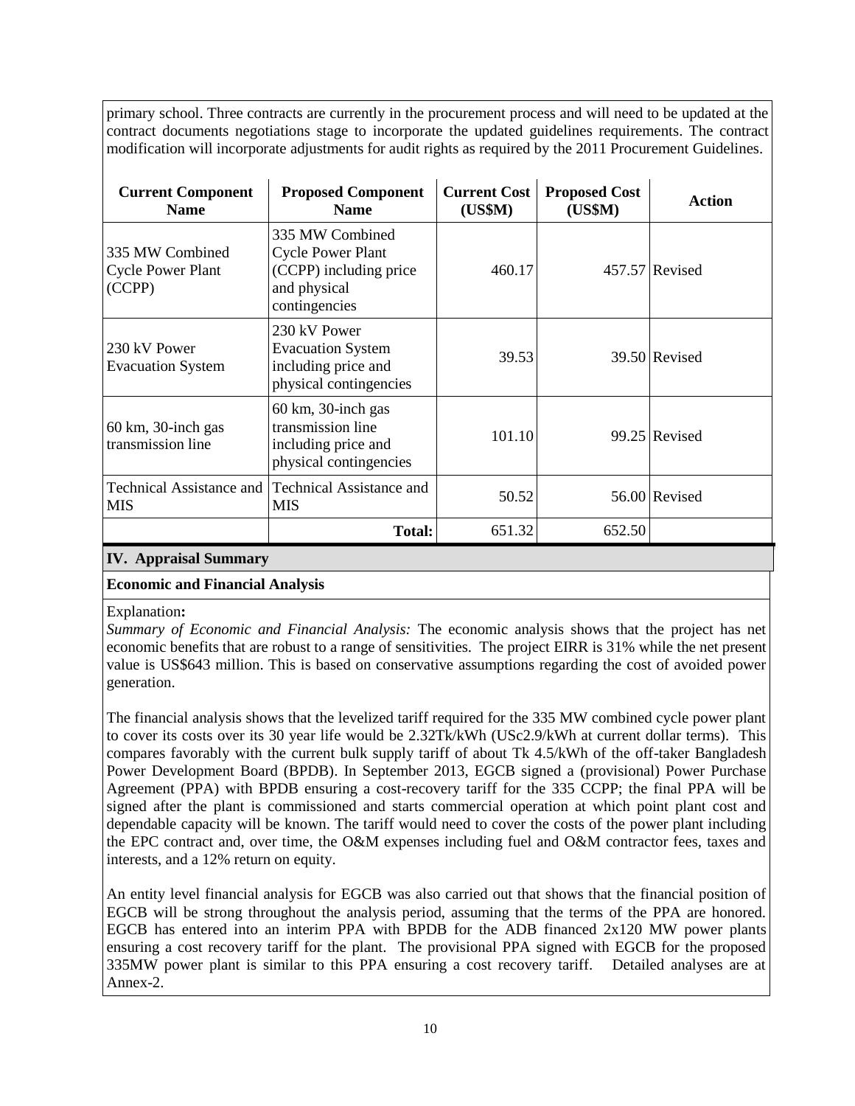primary school. Three contracts are currently in the procurement process and will need to be updated at the contract documents negotiations stage to incorporate the updated guidelines requirements. The contract modification will incorporate adjustments for audit rights as required by the 2011 Procurement Guidelines.

| <b>Current Component</b><br><b>Name</b>               | <b>Proposed Component</b><br><b>Name</b>                                                               | <b>Current Cost</b><br>(US\$M) | <b>Proposed Cost</b><br>(US\$M) | <b>Action</b>    |
|-------------------------------------------------------|--------------------------------------------------------------------------------------------------------|--------------------------------|---------------------------------|------------------|
| 335 MW Combined<br><b>Cycle Power Plant</b><br>(CCPP) | 335 MW Combined<br><b>Cycle Power Plant</b><br>(CCPP) including price<br>and physical<br>contingencies | 460.17                         |                                 | $457.57$ Revised |
| 230 kV Power<br><b>Evacuation System</b>              | 230 kV Power<br><b>Evacuation System</b><br>including price and<br>physical contingencies              | 39.53                          |                                 | 39.50 Revised    |
| $60 \text{ km}$ , 30-inch gas<br>transmission line    | $60 \text{ km}$ , 30-inch gas<br>transmission line<br>including price and<br>physical contingencies    | 101.10                         |                                 | 99.25 Revised    |
| <b>Technical Assistance and</b><br><b>MIS</b>         | <b>Technical Assistance and</b><br>MIS                                                                 | 50.52                          |                                 | 56.00 Revised    |
|                                                       | <b>Total:</b>                                                                                          | 651.32                         | 652.50                          |                  |

### **IV. Appraisal Summary**

# **Economic and Financial Analysis**

#### Explanation**:**

*Summary of Economic and Financial Analysis:* The economic analysis shows that the project has net economic benefits that are robust to a range of sensitivities. The project EIRR is 31% while the net present value is US\$643 million. This is based on conservative assumptions regarding the cost of avoided power generation.

The financial analysis shows that the levelized tariff required for the 335 MW combined cycle power plant to cover its costs over its 30 year life would be 2.32Tk/kWh (USc2.9/kWh at current dollar terms). This compares favorably with the current bulk supply tariff of about Tk 4.5/kWh of the off-taker Bangladesh Power Development Board (BPDB). In September 2013, EGCB signed a (provisional) Power Purchase Agreement (PPA) with BPDB ensuring a cost-recovery tariff for the 335 CCPP; the final PPA will be signed after the plant is commissioned and starts commercial operation at which point plant cost and dependable capacity will be known. The tariff would need to cover the costs of the power plant including the EPC contract and, over time, the O&M expenses including fuel and O&M contractor fees, taxes and interests, and a 12% return on equity.

An entity level financial analysis for EGCB was also carried out that shows that the financial position of EGCB will be strong throughout the analysis period, assuming that the terms of the PPA are honored. EGCB has entered into an interim PPA with BPDB for the ADB financed  $2x120$  MW power plants ensuring a cost recovery tariff for the plant. The provisional PPA signed with EGCB for the proposed 335MW power plant is similar to this PPA ensuring a cost recovery tariff. Detailed analyses are at Annex-2.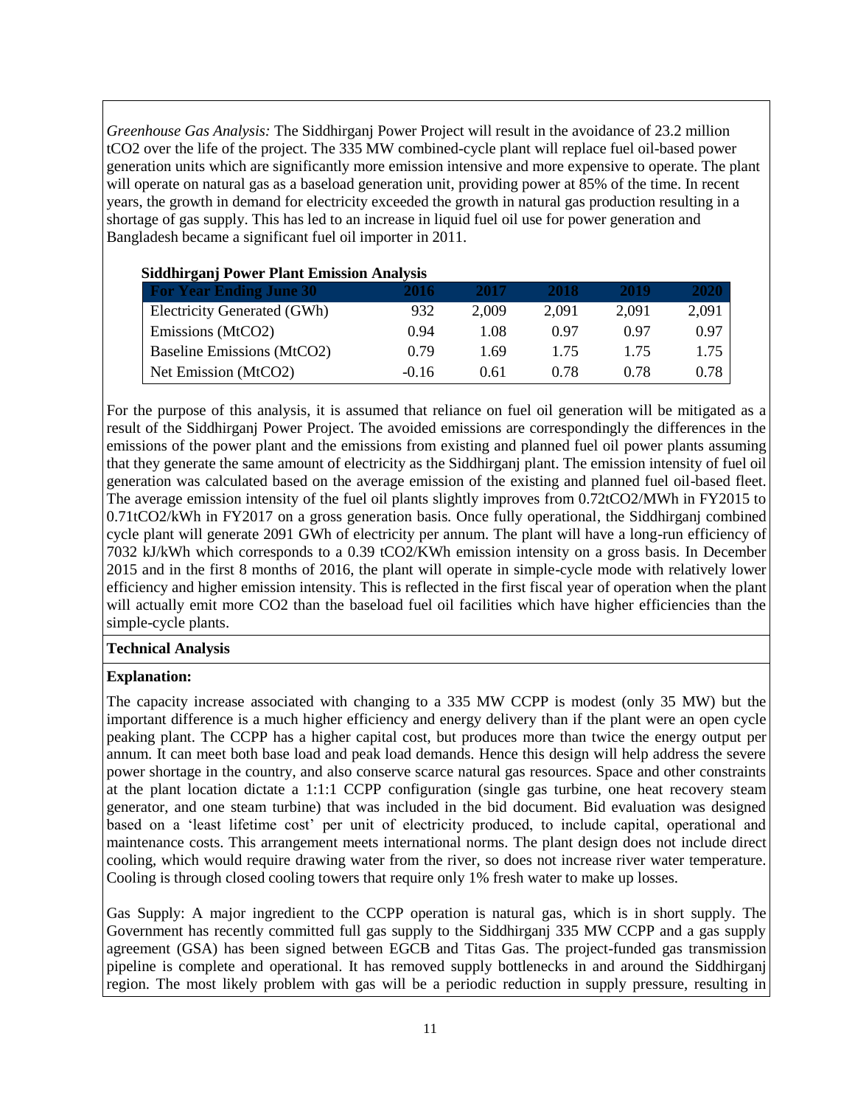*Greenhouse Gas Analysis:* The Siddhirganj Power Project will result in the avoidance of 23.2 million tCO2 over the life of the project. The 335 MW combined-cycle plant will replace fuel oil-based power generation units which are significantly more emission intensive and more expensive to operate. The plant will operate on natural gas as a baseload generation unit, providing power at 85% of the time. In recent years, the growth in demand for electricity exceeded the growth in natural gas production resulting in a shortage of gas supply. This has led to an increase in liquid fuel oil use for power generation and Bangladesh became a significant fuel oil importer in 2011.

| <b>Siddhirganj Power Plant Emission Analysis</b> |         |       |       |       |       |  |  |
|--------------------------------------------------|---------|-------|-------|-------|-------|--|--|
| <b>For Year Ending June 30</b>                   | 2016    | 2017  | 2018  | 2019  | 2020  |  |  |
| Electricity Generated (GWh)                      | 932     | 2,009 | 2,091 | 2.091 | 2,091 |  |  |
| Emissions (MtCO2)                                | 0.94    | 1.08  | 0.97  | 0.97  | 0.97  |  |  |
| Baseline Emissions (MtCO2)                       | 0.79    | 1.69  | 1.75  | 1 75  | 1.75  |  |  |
| Net Emission (MtCO2)                             | $-0.16$ | 0.61  | 0.78  | 0.78  | 0.78  |  |  |

## For the purpose of this analysis, it is assumed that reliance on fuel oil generation will be mitigated as a result of the Siddhirganj Power Project. The avoided emissions are correspondingly the differences in the emissions of the power plant and the emissions from existing and planned fuel oil power plants assuming that they generate the same amount of electricity as the Siddhirganj plant. The emission intensity of fuel oil generation was calculated based on the average emission of the existing and planned fuel oil-based fleet. The average emission intensity of the fuel oil plants slightly improves from 0.72tCO2/MWh in FY2015 to 0.71tCO2/kWh in FY2017 on a gross generation basis. Once fully operational, the Siddhirganj combined cycle plant will generate 2091 GWh of electricity per annum. The plant will have a long-run efficiency of 7032 kJ/kWh which corresponds to a 0.39 tCO2/KWh emission intensity on a gross basis. In December 2015 and in the first 8 months of 2016, the plant will operate in simple-cycle mode with relatively lower efficiency and higher emission intensity. This is reflected in the first fiscal year of operation when the plant will actually emit more CO2 than the baseload fuel oil facilities which have higher efficiencies than the simple-cycle plants.

# **Technical Analysis**

# **Explanation:**

The capacity increase associated with changing to a 335 MW CCPP is modest (only 35 MW) but the important difference is a much higher efficiency and energy delivery than if the plant were an open cycle peaking plant. The CCPP has a higher capital cost, but produces more than twice the energy output per annum. It can meet both base load and peak load demands. Hence this design will help address the severe power shortage in the country, and also conserve scarce natural gas resources. Space and other constraints at the plant location dictate a 1:1:1 CCPP configuration (single gas turbine, one heat recovery steam generator, and one steam turbine) that was included in the bid document. Bid evaluation was designed based on a 'least lifetime cost' per unit of electricity produced, to include capital, operational and maintenance costs. This arrangement meets international norms. The plant design does not include direct cooling, which would require drawing water from the river, so does not increase river water temperature. Cooling is through closed cooling towers that require only 1% fresh water to make up losses.

Gas Supply: A major ingredient to the CCPP operation is natural gas, which is in short supply. The Government has recently committed full gas supply to the Siddhirganj 335 MW CCPP and a gas supply agreement (GSA) has been signed between EGCB and Titas Gas. The project-funded gas transmission pipeline is complete and operational. It has removed supply bottlenecks in and around the Siddhirganj region. The most likely problem with gas will be a periodic reduction in supply pressure, resulting in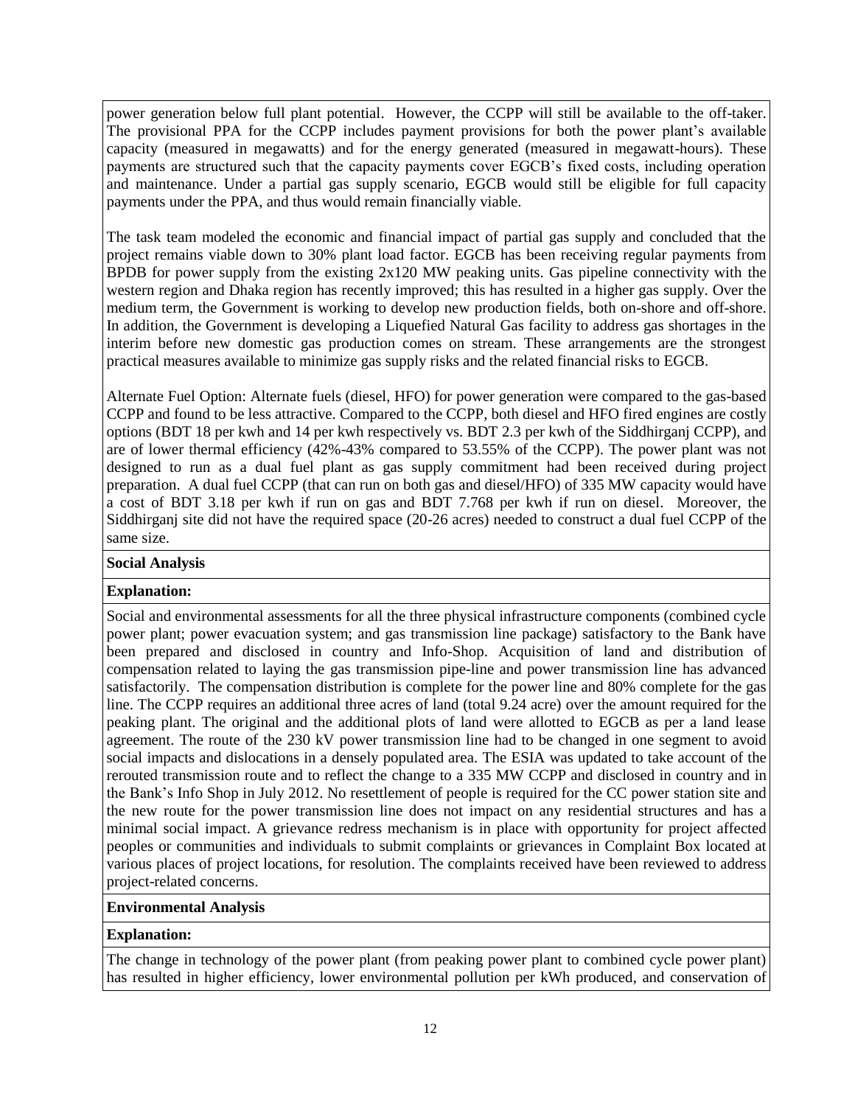power generation below full plant potential. However, the CCPP will still be available to the off-taker. The provisional PPA for the CCPP includes payment provisions for both the power plant's available capacity (measured in megawatts) and for the energy generated (measured in megawatt-hours). These payments are structured such that the capacity payments cover EGCB's fixed costs, including operation and maintenance. Under a partial gas supply scenario, EGCB would still be eligible for full capacity payments under the PPA, and thus would remain financially viable.

The task team modeled the economic and financial impact of partial gas supply and concluded that the project remains viable down to 30% plant load factor. EGCB has been receiving regular payments from BPDB for power supply from the existing 2x120 MW peaking units. Gas pipeline connectivity with the western region and Dhaka region has recently improved; this has resulted in a higher gas supply. Over the medium term, the Government is working to develop new production fields, both on-shore and off-shore. In addition, the Government is developing a Liquefied Natural Gas facility to address gas shortages in the interim before new domestic gas production comes on stream. These arrangements are the strongest practical measures available to minimize gas supply risks and the related financial risks to EGCB.

Alternate Fuel Option: Alternate fuels (diesel, HFO) for power generation were compared to the gas-based CCPP and found to be less attractive. Compared to the CCPP, both diesel and HFO fired engines are costly options (BDT 18 per kwh and 14 per kwh respectively vs. BDT 2.3 per kwh of the Siddhirganj CCPP), and are of lower thermal efficiency (42%-43% compared to 53.55% of the CCPP). The power plant was not designed to run as a dual fuel plant as gas supply commitment had been received during project preparation. A dual fuel CCPP (that can run on both gas and diesel/HFO) of 335 MW capacity would have a cost of BDT 3.18 per kwh if run on gas and BDT 7.768 per kwh if run on diesel. Moreover, the Siddhirganj site did not have the required space (20-26 acres) needed to construct a dual fuel CCPP of the same size.

### **Social Analysis**

# **Explanation:**

Social and environmental assessments for all the three physical infrastructure components (combined cycle power plant; power evacuation system; and gas transmission line package) satisfactory to the Bank have been prepared and disclosed in country and Info-Shop. Acquisition of land and distribution of compensation related to laying the gas transmission pipe-line and power transmission line has advanced satisfactorily. The compensation distribution is complete for the power line and 80% complete for the gas line. The CCPP requires an additional three acres of land (total 9.24 acre) over the amount required for the peaking plant. The original and the additional plots of land were allotted to EGCB as per a land lease agreement. The route of the 230 kV power transmission line had to be changed in one segment to avoid social impacts and dislocations in a densely populated area. The ESIA was updated to take account of the rerouted transmission route and to reflect the change to a 335 MW CCPP and disclosed in country and in the Bank's Info Shop in July 2012. No resettlement of people is required for the CC power station site and the new route for the power transmission line does not impact on any residential structures and has a minimal social impact. A grievance redress mechanism is in place with opportunity for project affected peoples or communities and individuals to submit complaints or grievances in Complaint Box located at various places of project locations, for resolution. The complaints received have been reviewed to address project-related concerns.

### **Environmental Analysis**

### **Explanation:**

The change in technology of the power plant (from peaking power plant to combined cycle power plant) has resulted in higher efficiency, lower environmental pollution per kWh produced, and conservation of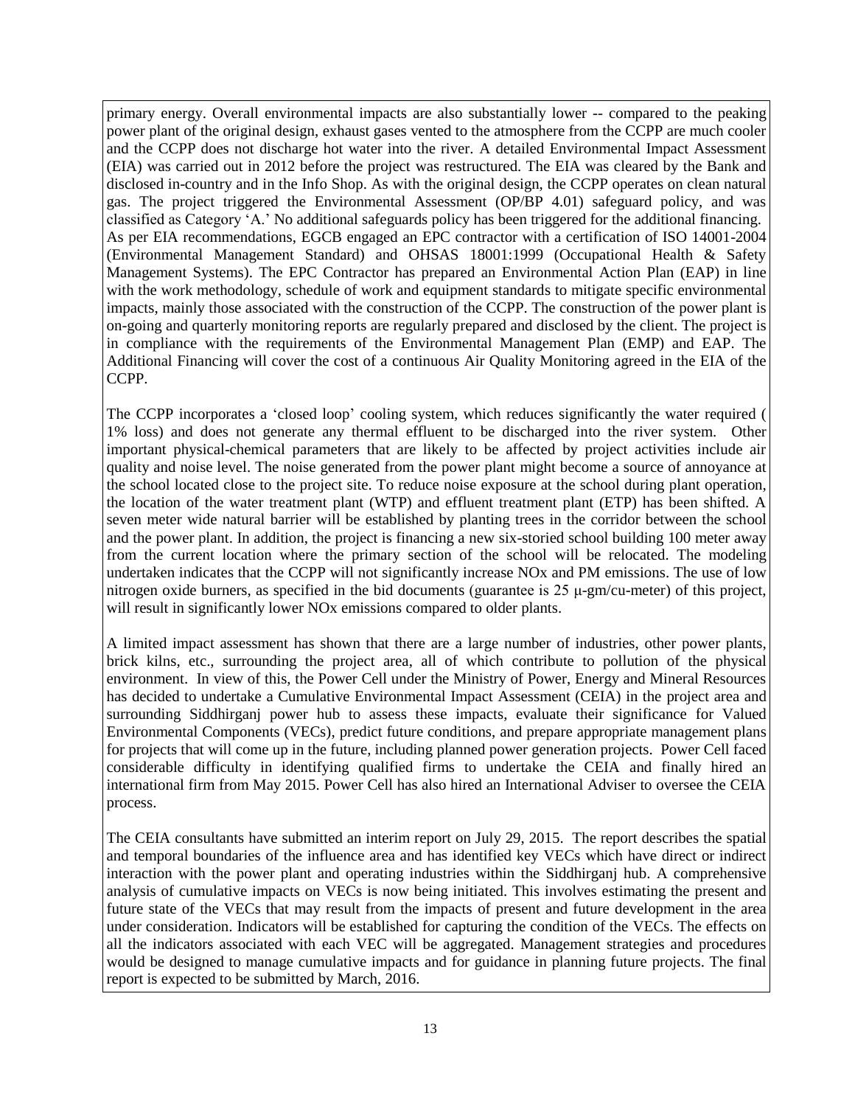primary energy. Overall environmental impacts are also substantially lower -- compared to the peaking power plant of the original design, exhaust gases vented to the atmosphere from the CCPP are much cooler and the CCPP does not discharge hot water into the river. A detailed Environmental Impact Assessment (EIA) was carried out in 2012 before the project was restructured. The EIA was cleared by the Bank and disclosed in-country and in the Info Shop. As with the original design, the CCPP operates on clean natural gas. The project triggered the Environmental Assessment (OP/BP 4.01) safeguard policy, and was classified as Category 'A.' No additional safeguards policy has been triggered for the additional financing. As per EIA recommendations, EGCB engaged an EPC contractor with a certification of ISO 14001-2004 (Environmental Management Standard) and OHSAS 18001:1999 (Occupational Health & Safety Management Systems). The EPC Contractor has prepared an Environmental Action Plan (EAP) in line with the work methodology, schedule of work and equipment standards to mitigate specific environmental impacts, mainly those associated with the construction of the CCPP. The construction of the power plant is on-going and quarterly monitoring reports are regularly prepared and disclosed by the client. The project is in compliance with the requirements of the Environmental Management Plan (EMP) and EAP. The Additional Financing will cover the cost of a continuous Air Quality Monitoring agreed in the EIA of the CCPP.

The CCPP incorporates a 'closed loop' cooling system, which reduces significantly the water required ( 1% loss) and does not generate any thermal effluent to be discharged into the river system. Other important physical-chemical parameters that are likely to be affected by project activities include air quality and noise level. The noise generated from the power plant might become a source of annoyance at the school located close to the project site. To reduce noise exposure at the school during plant operation, the location of the water treatment plant (WTP) and effluent treatment plant (ETP) has been shifted. A seven meter wide natural barrier will be established by planting trees in the corridor between the school and the power plant. In addition, the project is financing a new six-storied school building 100 meter away from the current location where the primary section of the school will be relocated. The modeling undertaken indicates that the CCPP will not significantly increase NOx and PM emissions. The use of low nitrogen oxide burners, as specified in the bid documents (guarantee is 25 μ-gm/cu-meter) of this project, will result in significantly lower NO<sub>x</sub> emissions compared to older plants.

A limited impact assessment has shown that there are a large number of industries, other power plants, brick kilns, etc., surrounding the project area, all of which contribute to pollution of the physical environment. In view of this, the Power Cell under the Ministry of Power, Energy and Mineral Resources has decided to undertake a Cumulative Environmental Impact Assessment (CEIA) in the project area and surrounding Siddhirganj power hub to assess these impacts, evaluate their significance for Valued Environmental Components (VECs), predict future conditions, and prepare appropriate management plans for projects that will come up in the future, including planned power generation projects. Power Cell faced considerable difficulty in identifying qualified firms to undertake the CEIA and finally hired an international firm from May 2015. Power Cell has also hired an International Adviser to oversee the CEIA process.

The CEIA consultants have submitted an interim report on July 29, 2015. The report describes the spatial and temporal boundaries of the influence area and has identified key VECs which have direct or indirect interaction with the power plant and operating industries within the Siddhirganj hub. A comprehensive analysis of cumulative impacts on VECs is now being initiated. This involves estimating the present and future state of the VECs that may result from the impacts of present and future development in the area under consideration. Indicators will be established for capturing the condition of the VECs. The effects on all the indicators associated with each VEC will be aggregated. Management strategies and procedures would be designed to manage cumulative impacts and for guidance in planning future projects. The final report is expected to be submitted by March, 2016.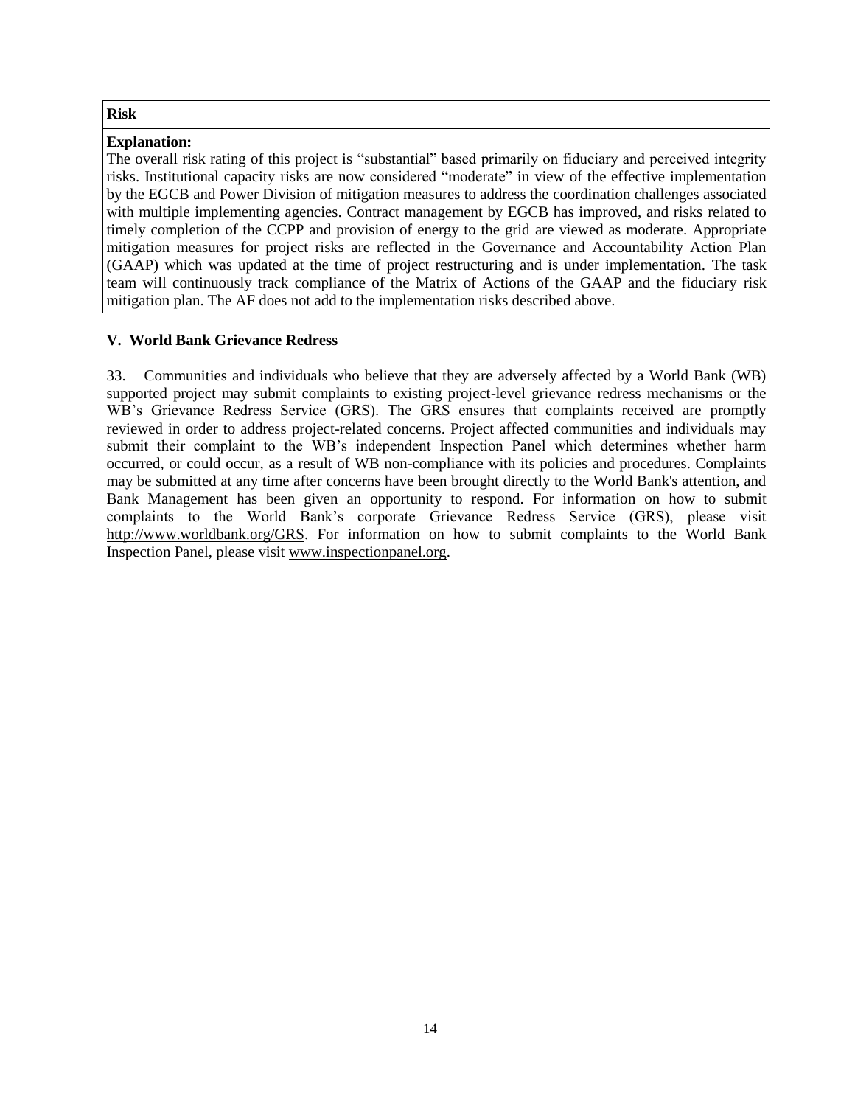## **Risk**

## **Explanation:**

The overall risk rating of this project is "substantial" based primarily on fiduciary and perceived integrity risks. Institutional capacity risks are now considered "moderate" in view of the effective implementation by the EGCB and Power Division of mitigation measures to address the coordination challenges associated with multiple implementing agencies. Contract management by EGCB has improved, and risks related to timely completion of the CCPP and provision of energy to the grid are viewed as moderate. Appropriate mitigation measures for project risks are reflected in the Governance and Accountability Action Plan (GAAP) which was updated at the time of project restructuring and is under implementation. The task team will continuously track compliance of the Matrix of Actions of the GAAP and the fiduciary risk mitigation plan. The AF does not add to the implementation risks described above.

# **V. World Bank Grievance Redress**

33. Communities and individuals who believe that they are adversely affected by a World Bank (WB) supported project may submit complaints to existing project-level grievance redress mechanisms or the WB's Grievance Redress Service (GRS). The GRS ensures that complaints received are promptly reviewed in order to address project-related concerns. Project affected communities and individuals may submit their complaint to the WB's independent Inspection Panel which determines whether harm occurred, or could occur, as a result of WB non-compliance with its policies and procedures. Complaints may be submitted at any time after concerns have been brought directly to the World Bank's attention, and Bank Management has been given an opportunity to respond. For information on how to submit complaints to the World Bank's corporate Grievance Redress Service (GRS), please visit [http://www.worldbank.org/GRS.](http://www.worldbank.org/GRS) For information on how to submit complaints to the World Bank Inspection Panel, please visi[t www.inspectionpanel.org.](http://www.inspectionpanel.org/)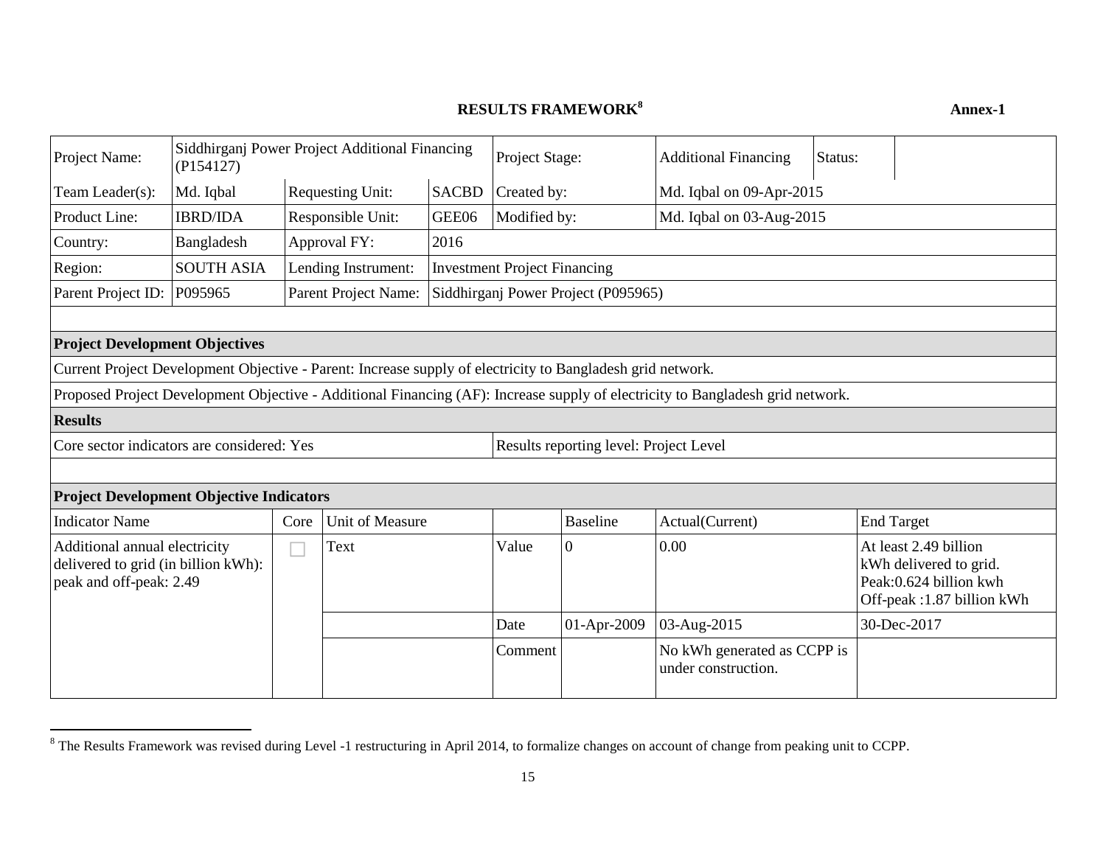# **RESULTS FRAMEWORK<sup>8</sup>**

# **Annex-1**

| Project Name:                                                                                              | Siddhirganj Power Project Additional Financing<br>(P154127) |      | Project Stage:          |              | <b>Additional Financing</b>         | Status:                                 |                                                                                                                                |  |                                                                                                         |
|------------------------------------------------------------------------------------------------------------|-------------------------------------------------------------|------|-------------------------|--------------|-------------------------------------|-----------------------------------------|--------------------------------------------------------------------------------------------------------------------------------|--|---------------------------------------------------------------------------------------------------------|
| Team Leader(s):                                                                                            | Md. Iqbal                                                   |      | <b>Requesting Unit:</b> | <b>SACBD</b> |                                     | Created by:<br>Md. Iqbal on 09-Apr-2015 |                                                                                                                                |  |                                                                                                         |
| Product Line:                                                                                              | <b>IBRD/IDA</b>                                             |      | Responsible Unit:       | GEE06        | Modified by:                        |                                         | Md. Iqbal on 03-Aug-2015                                                                                                       |  |                                                                                                         |
| Country:                                                                                                   | Bangladesh                                                  |      | Approval FY:            | 2016         |                                     |                                         |                                                                                                                                |  |                                                                                                         |
| Region:                                                                                                    | <b>SOUTH ASIA</b>                                           |      | Lending Instrument:     |              | <b>Investment Project Financing</b> |                                         |                                                                                                                                |  |                                                                                                         |
| Parent Project ID:                                                                                         | P095965                                                     |      | Parent Project Name:    |              |                                     | Siddhirganj Power Project (P095965)     |                                                                                                                                |  |                                                                                                         |
|                                                                                                            |                                                             |      |                         |              |                                     |                                         |                                                                                                                                |  |                                                                                                         |
| <b>Project Development Objectives</b>                                                                      |                                                             |      |                         |              |                                     |                                         |                                                                                                                                |  |                                                                                                         |
| Current Project Development Objective - Parent: Increase supply of electricity to Bangladesh grid network. |                                                             |      |                         |              |                                     |                                         |                                                                                                                                |  |                                                                                                         |
|                                                                                                            |                                                             |      |                         |              |                                     |                                         | Proposed Project Development Objective - Additional Financing (AF): Increase supply of electricity to Bangladesh grid network. |  |                                                                                                         |
| <b>Results</b>                                                                                             |                                                             |      |                         |              |                                     |                                         |                                                                                                                                |  |                                                                                                         |
| Core sector indicators are considered: Yes                                                                 |                                                             |      |                         |              |                                     | Results reporting level: Project Level  |                                                                                                                                |  |                                                                                                         |
|                                                                                                            |                                                             |      |                         |              |                                     |                                         |                                                                                                                                |  |                                                                                                         |
| <b>Project Development Objective Indicators</b>                                                            |                                                             |      |                         |              |                                     |                                         |                                                                                                                                |  |                                                                                                         |
| <b>Indicator Name</b>                                                                                      |                                                             | Core | Unit of Measure         |              |                                     | <b>Baseline</b>                         | Actual(Current)                                                                                                                |  | <b>End Target</b>                                                                                       |
| Additional annual electricity<br>delivered to grid (in billion kWh):<br>peak and off-peak: 2.49            |                                                             | Г    | Text                    |              | Value                               | $\overline{0}$                          | 0.00                                                                                                                           |  | At least 2.49 billion<br>kWh delivered to grid.<br>Peak:0.624 billion kwh<br>Off-peak :1.87 billion kWh |
|                                                                                                            |                                                             |      |                         |              | Date                                | 01-Apr-2009                             | 03-Aug-2015                                                                                                                    |  | 30-Dec-2017                                                                                             |
|                                                                                                            |                                                             |      |                         |              | Comment                             |                                         | No kWh generated as CCPP is<br>under construction.                                                                             |  |                                                                                                         |

 $8$  The Results Framework was revised during Level -1 restructuring in April 2014, to formalize changes on account of change from peaking unit to CCPP.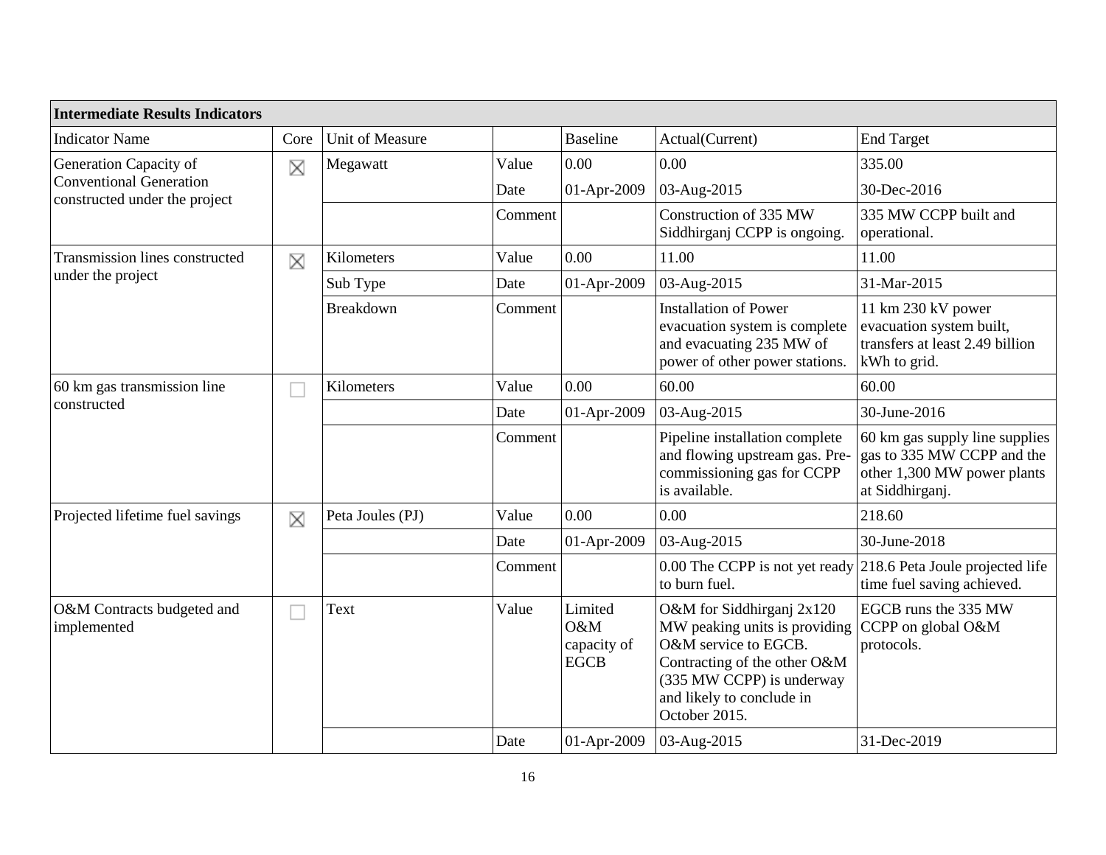| <b>Intermediate Results Indicators</b>                          |      |                  |         |                                              |                                                                                                                                                                                               |                                                                                                                |
|-----------------------------------------------------------------|------|------------------|---------|----------------------------------------------|-----------------------------------------------------------------------------------------------------------------------------------------------------------------------------------------------|----------------------------------------------------------------------------------------------------------------|
| <b>Indicator Name</b>                                           | Core | Unit of Measure  |         | <b>Baseline</b>                              | Actual(Current)                                                                                                                                                                               | <b>End Target</b>                                                                                              |
| Generation Capacity of                                          | X    | Megawatt         | Value   | 0.00                                         | 0.00                                                                                                                                                                                          | 335.00                                                                                                         |
| <b>Conventional Generation</b><br>constructed under the project |      |                  | Date    | 01-Apr-2009                                  | 03-Aug-2015                                                                                                                                                                                   | 30-Dec-2016                                                                                                    |
|                                                                 |      |                  | Comment |                                              | Construction of 335 MW<br>Siddhirganj CCPP is ongoing.                                                                                                                                        | 335 MW CCPP built and<br>operational.                                                                          |
| Transmission lines constructed                                  | X    | Kilometers       | Value   | 0.00                                         | 11.00                                                                                                                                                                                         | 11.00                                                                                                          |
| under the project                                               |      | Sub Type         | Date    | 01-Apr-2009                                  | 03-Aug-2015                                                                                                                                                                                   | 31-Mar-2015                                                                                                    |
|                                                                 |      | <b>Breakdown</b> | Comment |                                              | <b>Installation of Power</b><br>evacuation system is complete<br>and evacuating 235 MW of<br>power of other power stations.                                                                   | 11 km 230 kV power<br>evacuation system built,<br>transfers at least 2.49 billion<br>kWh to grid.              |
| 60 km gas transmission line                                     | П    | Kilometers       | Value   | 0.00                                         | 60.00                                                                                                                                                                                         | 60.00                                                                                                          |
| constructed                                                     |      |                  | Date    | 01-Apr-2009                                  | 03-Aug-2015                                                                                                                                                                                   | 30-June-2016                                                                                                   |
|                                                                 |      |                  | Comment |                                              | Pipeline installation complete<br>and flowing upstream gas. Pre-<br>commissioning gas for CCPP<br>is available.                                                                               | 60 km gas supply line supplies<br>gas to 335 MW CCPP and the<br>other 1,300 MW power plants<br>at Siddhirganj. |
| Projected lifetime fuel savings                                 | X    | Peta Joules (PJ) | Value   | 0.00                                         | 0.00                                                                                                                                                                                          | 218.60                                                                                                         |
|                                                                 |      |                  | Date    | 01-Apr-2009                                  | 03-Aug-2015                                                                                                                                                                                   | 30-June-2018                                                                                                   |
|                                                                 |      |                  | Comment |                                              | 0.00 The CCPP is not yet ready<br>to burn fuel.                                                                                                                                               | 218.6 Peta Joule projected life<br>time fuel saving achieved.                                                  |
| O&M Contracts budgeted and<br>implemented                       | m.   | Text             | Value   | Limited<br>O&M<br>capacity of<br><b>EGCB</b> | O&M for Siddhirganj 2x120<br>MW peaking units is providing<br>O&M service to EGCB.<br>Contracting of the other O&M<br>(335 MW CCPP) is underway<br>and likely to conclude in<br>October 2015. | EGCB runs the 335 MW<br>CCPP on global O&M<br>protocols.                                                       |
|                                                                 |      |                  | Date    | 01-Apr-2009                                  | 03-Aug-2015                                                                                                                                                                                   | 31-Dec-2019                                                                                                    |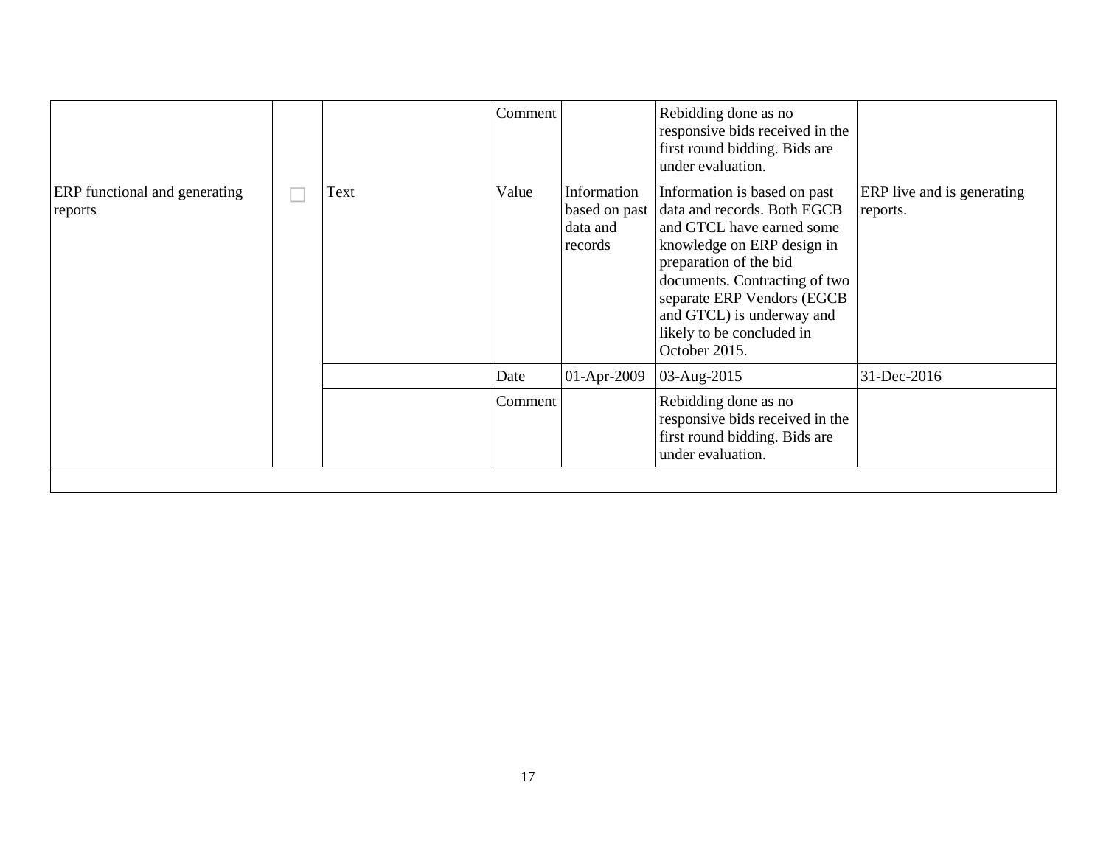|                                          |      | Comment |                                                     | Rebidding done as no<br>responsive bids received in the<br>first round bidding. Bids are<br>under evaluation.                                                                                                                                                                              |                                        |
|------------------------------------------|------|---------|-----------------------------------------------------|--------------------------------------------------------------------------------------------------------------------------------------------------------------------------------------------------------------------------------------------------------------------------------------------|----------------------------------------|
| ERP functional and generating<br>reports | Text | Value   | Information<br>based on past<br>data and<br>records | Information is based on past<br>data and records. Both EGCB<br>and GTCL have earned some<br>knowledge on ERP design in<br>preparation of the bid<br>documents. Contracting of two<br>separate ERP Vendors (EGCB<br>and GTCL) is underway and<br>likely to be concluded in<br>October 2015. | ERP live and is generating<br>reports. |
|                                          |      | Date    | 01-Apr-2009                                         | 03-Aug-2015                                                                                                                                                                                                                                                                                | 31-Dec-2016                            |
|                                          |      | Comment |                                                     | Rebidding done as no<br>responsive bids received in the<br>first round bidding. Bids are<br>under evaluation.                                                                                                                                                                              |                                        |
|                                          |      |         |                                                     |                                                                                                                                                                                                                                                                                            |                                        |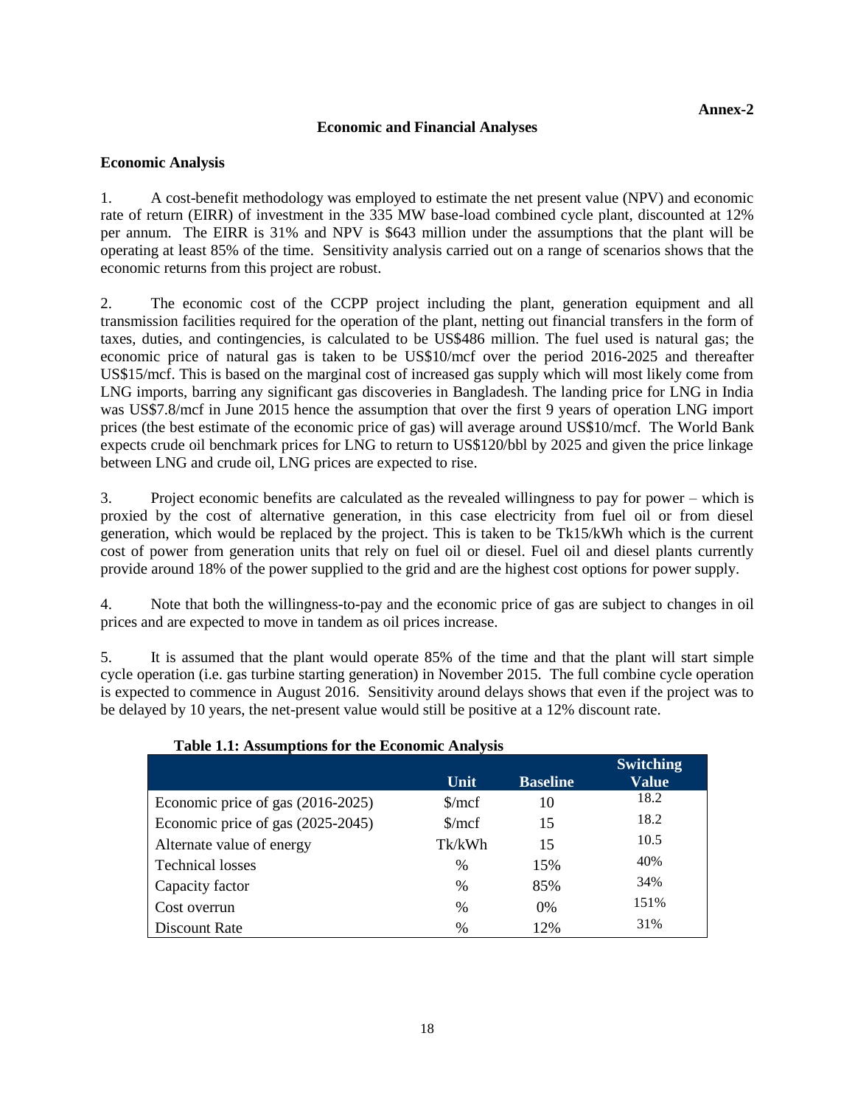## **Economic and Financial Analyses**

### **Economic Analysis**

1. A cost-benefit methodology was employed to estimate the net present value (NPV) and economic rate of return (EIRR) of investment in the 335 MW base-load combined cycle plant, discounted at 12% per annum. The EIRR is 31% and NPV is \$643 million under the assumptions that the plant will be operating at least 85% of the time. Sensitivity analysis carried out on a range of scenarios shows that the economic returns from this project are robust.

2. The economic cost of the CCPP project including the plant, generation equipment and all transmission facilities required for the operation of the plant, netting out financial transfers in the form of taxes, duties, and contingencies, is calculated to be US\$486 million. The fuel used is natural gas; the economic price of natural gas is taken to be US\$10/mcf over the period 2016-2025 and thereafter US\$15/mcf. This is based on the marginal cost of increased gas supply which will most likely come from LNG imports, barring any significant gas discoveries in Bangladesh. The landing price for LNG in India was US\$7.8/mcf in June 2015 hence the assumption that over the first 9 years of operation LNG import prices (the best estimate of the economic price of gas) will average around US\$10/mcf. The World Bank expects crude oil benchmark prices for LNG to return to US\$120/bbl by 2025 and given the price linkage between LNG and crude oil, LNG prices are expected to rise.

3. Project economic benefits are calculated as the revealed willingness to pay for power – which is proxied by the cost of alternative generation, in this case electricity from fuel oil or from diesel generation, which would be replaced by the project. This is taken to be Tk15/kWh which is the current cost of power from generation units that rely on fuel oil or diesel. Fuel oil and diesel plants currently provide around 18% of the power supplied to the grid and are the highest cost options for power supply.

4. Note that both the willingness-to-pay and the economic price of gas are subject to changes in oil prices and are expected to move in tandem as oil prices increase.

5. It is assumed that the plant would operate 85% of the time and that the plant will start simple cycle operation (i.e. gas turbine starting generation) in November 2015. The full combine cycle operation is expected to commence in August 2016. Sensitivity around delays shows that even if the project was to be delayed by 10 years, the net-present value would still be positive at a 12% discount rate.

| Table 1.1: Assumptions for the economic Analysis |                               |                 |                  |  |  |  |  |
|--------------------------------------------------|-------------------------------|-----------------|------------------|--|--|--|--|
|                                                  |                               |                 | <b>Switching</b> |  |  |  |  |
|                                                  | Unit                          | <b>Baseline</b> | Value            |  |  |  |  |
| Economic price of gas (2016-2025)                | $\frac{\text{S}}{\text{mcf}}$ | 10              | 18.2             |  |  |  |  |
| Economic price of gas (2025-2045)                | $\frac{\text{S}}{\text{mcf}}$ | 15              | 18.2             |  |  |  |  |
| Alternate value of energy                        | Tk/kWh                        | 15              | 10.5             |  |  |  |  |
| <b>Technical losses</b>                          | $\%$                          | 15%             | 40%              |  |  |  |  |
| Capacity factor                                  | $\%$                          | 85%             | 34%              |  |  |  |  |
| Cost overrun                                     | $\%$                          | $0\%$           | 151%             |  |  |  |  |
| Discount Rate                                    | $\%$                          | 12%             | 31%              |  |  |  |  |

# **Table 1.1: Assumptions for the Economic Analysis**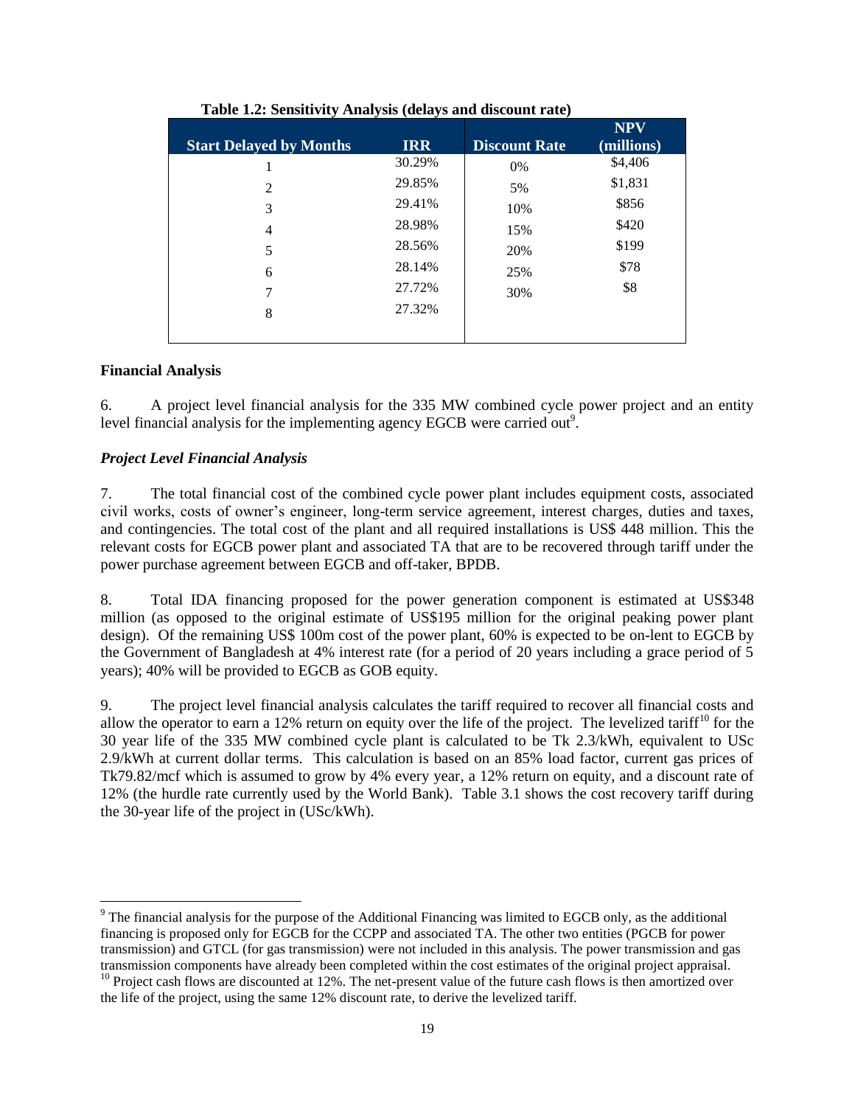| <b>Start Delayed by Months</b> | <b>IRR</b> | <b>Discount Rate</b> | <b>NPV</b><br>(millions) |
|--------------------------------|------------|----------------------|--------------------------|
| 1                              | 30.29%     | 0%                   | \$4,406                  |
| $\overline{c}$                 | 29.85%     | 5%                   | \$1,831                  |
| 3                              | 29.41%     | 10%                  | \$856                    |
| $\overline{4}$                 | 28.98%     | 15%                  | \$420                    |
| 5                              | 28.56%     | 20%                  | \$199                    |
| 6                              | 28.14%     | 25%                  | \$78                     |
| 7                              | 27.72%     | 30%                  | \$8                      |
| 8                              | 27.32%     |                      |                          |
|                                |            |                      |                          |

**Table 1.2: Sensitivity Analysis (delays and discount rate)**

#### **Financial Analysis**

 $\overline{a}$ 

6. A project level financial analysis for the 335 MW combined cycle power project and an entity level financial analysis for the implementing agency EGCB were carried out<sup>9</sup>.

#### *Project Level Financial Analysis*

7. The total financial cost of the combined cycle power plant includes equipment costs, associated civil works, costs of owner's engineer, long-term service agreement, interest charges, duties and taxes, and contingencies. The total cost of the plant and all required installations is US\$ 448 million. This the relevant costs for EGCB power plant and associated TA that are to be recovered through tariff under the power purchase agreement between EGCB and off-taker, BPDB.

8. Total IDA financing proposed for the power generation component is estimated at US\$348 million (as opposed to the original estimate of US\$195 million for the original peaking power plant design). Of the remaining US\$ 100m cost of the power plant, 60% is expected to be on-lent to EGCB by the Government of Bangladesh at 4% interest rate (for a period of 20 years including a grace period of 5 years); 40% will be provided to EGCB as GOB equity.

9. The project level financial analysis calculates the tariff required to recover all financial costs and allow the operator to earn a 12% return on equity over the life of the project. The levelized tariff<sup>10</sup> for the 30 year life of the 335 MW combined cycle plant is calculated to be Tk 2.3/kWh, equivalent to USc 2.9/kWh at current dollar terms. This calculation is based on an 85% load factor, current gas prices of Tk79.82/mcf which is assumed to grow by 4% every year, a 12% return on equity, and a discount rate of 12% (the hurdle rate currently used by the World Bank). Table 3.1 shows the cost recovery tariff during the 30-year life of the project in (USc/kWh).

 $9^9$  The financial analysis for the purpose of the Additional Financing was limited to EGCB only, as the additional financing is proposed only for EGCB for the CCPP and associated TA. The other two entities (PGCB for power transmission) and GTCL (for gas transmission) were not included in this analysis. The power transmission and gas transmission components have already been completed within the cost estimates of the original project appraisal.

<sup>&</sup>lt;sup>10</sup> Project cash flows are discounted at 12%. The net-present value of the future cash flows is then amortized over the life of the project, using the same 12% discount rate, to derive the levelized tariff.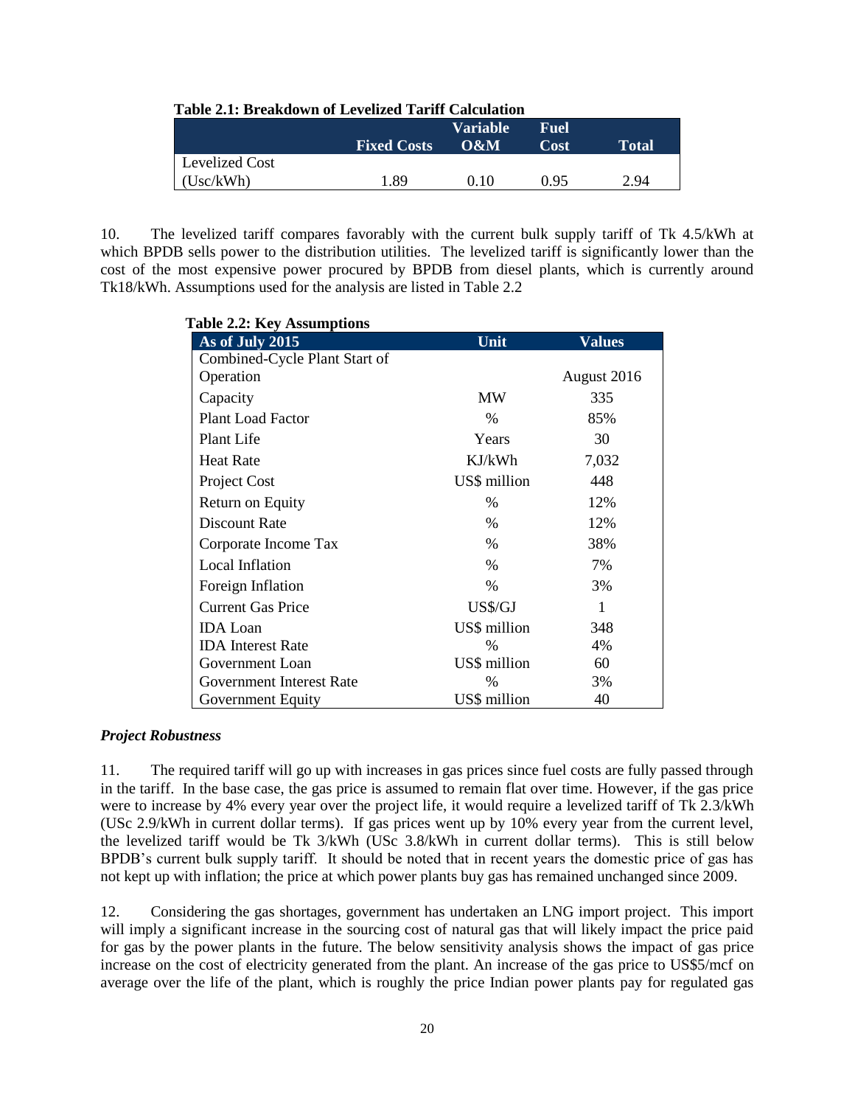|                         | Table 211, Dreamwynh of Levenzeu Tarhi Calediation |               |      |       |  |  |  |
|-------------------------|----------------------------------------------------|---------------|------|-------|--|--|--|
|                         |                                                    | Variable      | Fuel |       |  |  |  |
|                         | <b>Fixed Costs</b>                                 | $\Omega \& M$ | Cost | Total |  |  |  |
| Levelized Cost          |                                                    |               |      |       |  |  |  |
| $\big($ Usc/kWh $\big)$ | 1.89                                               | 010           | 0.95 | 2.94  |  |  |  |

10. The levelized tariff compares favorably with the current bulk supply tariff of Tk 4.5/kWh at which BPDB sells power to the distribution utilities. The levelized tariff is significantly lower than the cost of the most expensive power procured by BPDB from diesel plants, which is currently around Tk18/kWh. Assumptions used for the analysis are listed in Table 2.2

| As of July 2015               | Unit          | <b>Values</b> |
|-------------------------------|---------------|---------------|
| Combined-Cycle Plant Start of |               |               |
| Operation                     |               | August 2016   |
| Capacity                      | MW            | 335           |
| <b>Plant Load Factor</b>      | $\frac{0}{0}$ | 85%           |
| Plant Life                    | Years         | 30            |
| <b>Heat Rate</b>              | KJ/kWh        | 7,032         |
| Project Cost                  | US\$ million  | 448           |
| Return on Equity              | %             | 12%           |
| Discount Rate                 | $\frac{0}{0}$ | 12%           |
| Corporate Income Tax          | $\frac{0}{0}$ | 38%           |
| Local Inflation               | $\frac{0}{0}$ | 7%            |
| Foreign Inflation             | %             | 3%            |
| <b>Current Gas Price</b>      | US\$/GJ       | 1             |
| <b>IDA</b> Loan               | US\$ million  | 348           |
| <b>IDA</b> Interest Rate      | $\frac{0}{0}$ | 4%            |
| Government Loan               | US\$ million  | 60            |
| Government Interest Rate      | $\%$          | 3%            |
| Government Equity             | US\$ million  | 40            |

#### *Project Robustness*

11. The required tariff will go up with increases in gas prices since fuel costs are fully passed through in the tariff. In the base case, the gas price is assumed to remain flat over time. However, if the gas price were to increase by 4% every year over the project life, it would require a levelized tariff of Tk 2.3/kWh (USc 2.9/kWh in current dollar terms). If gas prices went up by 10% every year from the current level, the levelized tariff would be Tk 3/kWh (USc 3.8/kWh in current dollar terms). This is still below BPDB's current bulk supply tariff. It should be noted that in recent years the domestic price of gas has not kept up with inflation; the price at which power plants buy gas has remained unchanged since 2009.

12. Considering the gas shortages, government has undertaken an LNG import project. This import will imply a significant increase in the sourcing cost of natural gas that will likely impact the price paid for gas by the power plants in the future. The below sensitivity analysis shows the impact of gas price increase on the cost of electricity generated from the plant. An increase of the gas price to US\$5/mcf on average over the life of the plant, which is roughly the price Indian power plants pay for regulated gas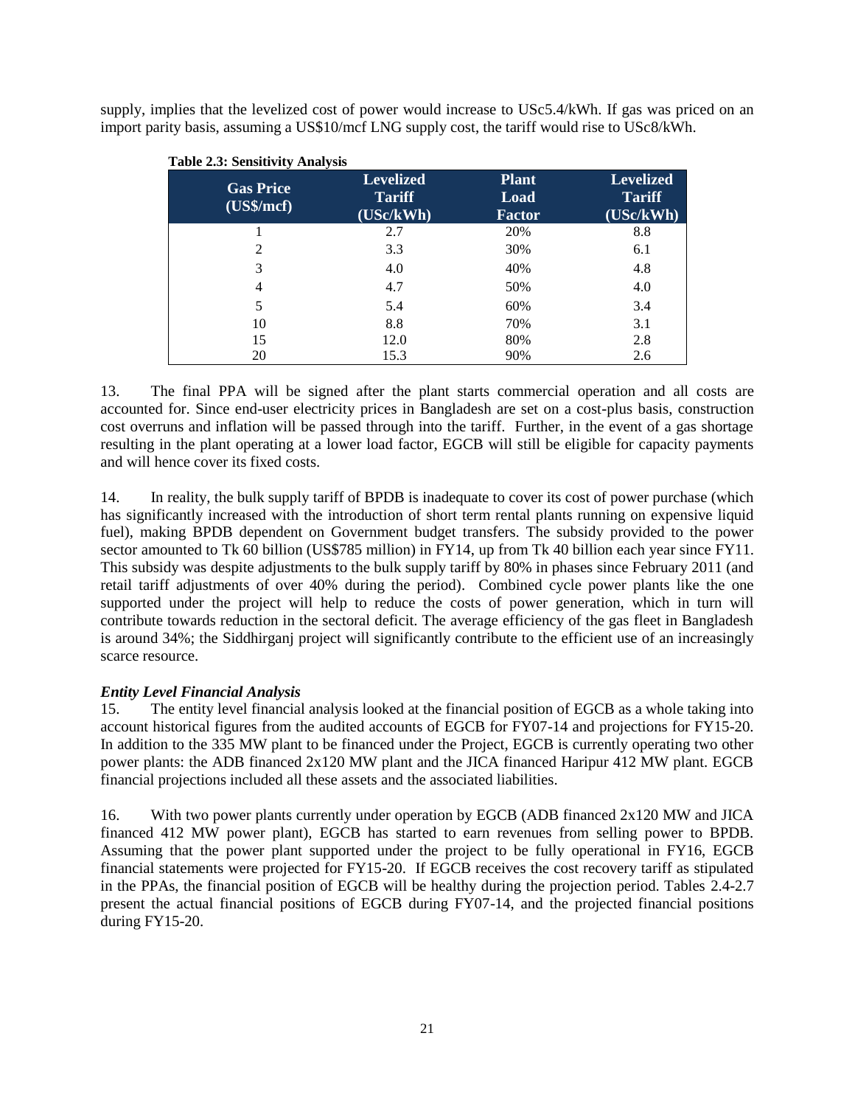supply, implies that the levelized cost of power would increase to USc5.4/kWh. If gas was priced on an import parity basis, assuming a US\$10/mcf LNG supply cost, the tariff would rise to USc8/kWh.

| <b>Table 2.3: Sensitivity Analysis</b> |                                                |                                       |                                                |
|----------------------------------------|------------------------------------------------|---------------------------------------|------------------------------------------------|
| <b>Gas Price</b><br>(US\$/mcf)         | <b>Levelized</b><br><b>Tariff</b><br>(USc/kWh) | <b>Plant</b><br>Load<br><b>Factor</b> | <b>Levelized</b><br><b>Tariff</b><br>(USc/kWh) |
|                                        | 2.7                                            | 20%                                   | 8.8                                            |
| 2                                      | 3.3                                            | 30%                                   | 6.1                                            |
| 3                                      | 4.0                                            | 40%                                   | 4.8                                            |
| 4                                      | 4.7                                            | 50%                                   | 4.0                                            |
| 5                                      | 5.4                                            | 60%                                   | 3.4                                            |
| 10                                     | 8.8                                            | 70%                                   | 3.1                                            |
| 15                                     | 12.0                                           | 80%                                   | 2.8                                            |
| 20                                     | 15.3                                           | 90%                                   | 2.6                                            |

13. The final PPA will be signed after the plant starts commercial operation and all costs are accounted for. Since end-user electricity prices in Bangladesh are set on a cost-plus basis, construction cost overruns and inflation will be passed through into the tariff. Further, in the event of a gas shortage resulting in the plant operating at a lower load factor, EGCB will still be eligible for capacity payments and will hence cover its fixed costs.

14. In reality, the bulk supply tariff of BPDB is inadequate to cover its cost of power purchase (which has significantly increased with the introduction of short term rental plants running on expensive liquid fuel), making BPDB dependent on Government budget transfers. The subsidy provided to the power sector amounted to Tk 60 billion (US\$785 million) in FY14, up from Tk 40 billion each year since FY11. This subsidy was despite adjustments to the bulk supply tariff by 80% in phases since February 2011 (and retail tariff adjustments of over 40% during the period). Combined cycle power plants like the one supported under the project will help to reduce the costs of power generation, which in turn will contribute towards reduction in the sectoral deficit. The average efficiency of the gas fleet in Bangladesh is around 34%; the Siddhirganj project will significantly contribute to the efficient use of an increasingly scarce resource.

# *Entity Level Financial Analysis*

15. The entity level financial analysis looked at the financial position of EGCB as a whole taking into account historical figures from the audited accounts of EGCB for FY07-14 and projections for FY15-20. In addition to the 335 MW plant to be financed under the Project, EGCB is currently operating two other power plants: the ADB financed 2x120 MW plant and the JICA financed Haripur 412 MW plant. EGCB financial projections included all these assets and the associated liabilities.

16. With two power plants currently under operation by EGCB (ADB financed 2x120 MW and JICA financed 412 MW power plant), EGCB has started to earn revenues from selling power to BPDB. Assuming that the power plant supported under the project to be fully operational in FY16, EGCB financial statements were projected for FY15-20. If EGCB receives the cost recovery tariff as stipulated in the PPAs, the financial position of EGCB will be healthy during the projection period. Tables 2.4-2.7 present the actual financial positions of EGCB during FY07-14, and the projected financial positions during FY15-20.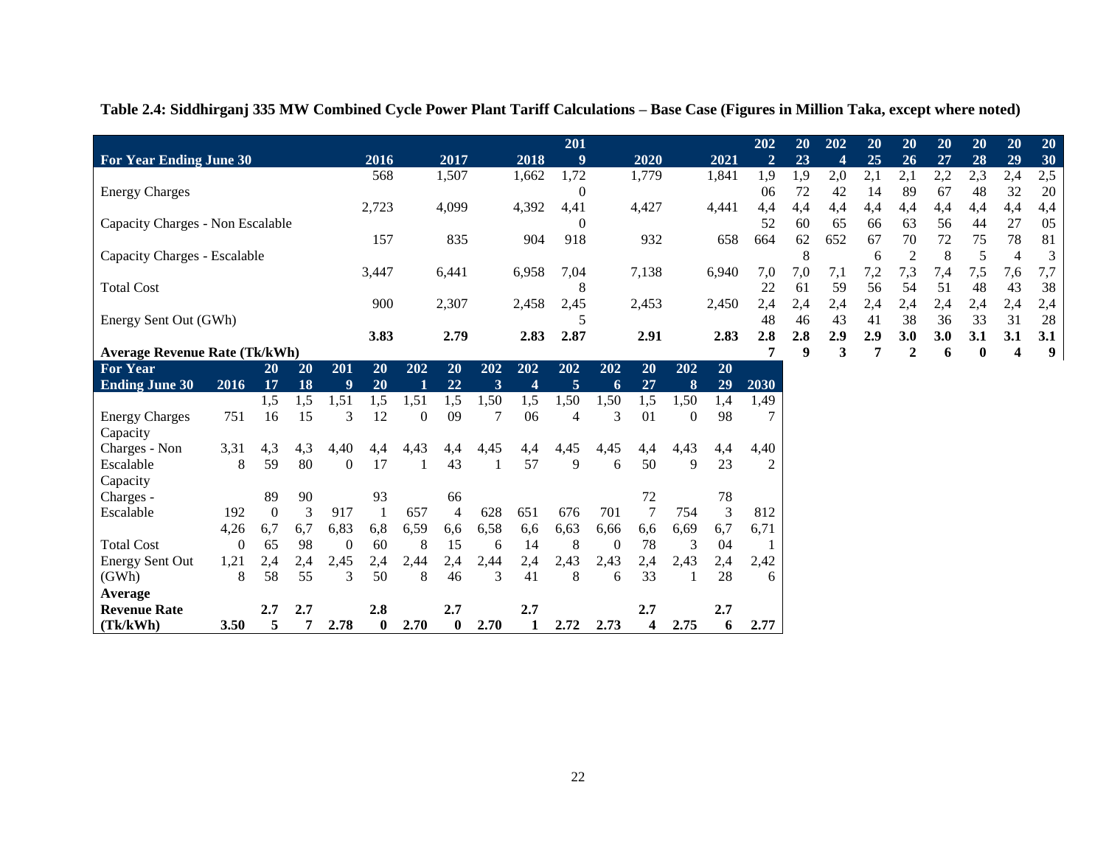**Table 2.4: Siddhirganj 335 MW Combined Cycle Power Plant Tariff Calculations – Base Case (Figures in Million Taka, except where noted)**

|                                      |          |           |           |          |          |                |                |      |                | 201            |          |                |                |       | 202            | 20  | 202              | 20  | 20             | 20  | 20       | 20  | 20    |
|--------------------------------------|----------|-----------|-----------|----------|----------|----------------|----------------|------|----------------|----------------|----------|----------------|----------------|-------|----------------|-----|------------------|-----|----------------|-----|----------|-----|-------|
| <b>For Year Ending June 30</b>       |          |           |           |          | 2016     |                | 2017           |      | 2018           | 9              |          | 2020           |                | 2021  | $\overline{2}$ | 23  | $\boldsymbol{4}$ | 25  | 26             | 27  | 28       | 29  | 30    |
|                                      |          |           |           |          | 568      |                | 1,507          |      | 1,662          | 1,72           |          | 1,779          |                | 1,841 | 1,9            | 1,9 | 2,0              | 2,1 | 2,1            | 2,2 | 2,3      | 2,4 | $2,5$ |
| <b>Energy Charges</b>                |          |           |           |          |          |                |                |      |                | $\theta$       |          |                |                |       | 06             | 72  | 42               | 14  | 89             | 67  | 48       | 32  | 20    |
|                                      |          |           |           |          | 2,723    |                | 4,099          |      | 4,392          | 4,41           |          | 4,427          |                | 4,441 | 4,4            | 4,4 | 4,4              | 4,4 | 4,4            | 4,4 | 4,4      | 4,4 | 4,4   |
| Capacity Charges - Non Escalable     |          |           |           |          |          |                |                |      |                | $\theta$       |          |                |                |       | 52             | 60  | 65               | 66  | 63             | 56  | 44       | 27  | 05    |
|                                      |          |           |           |          | 157      |                | 835            |      | 904            | 918            |          | 932            |                | 658   | 664            | 62  | 652              | 67  | 70             | 72  | 75       | 78  | 81    |
| Capacity Charges - Escalable         |          |           |           |          |          |                |                |      |                |                |          |                |                |       |                | 8   |                  | 6   | $\overline{c}$ | 8   | 5        | 4   | 3     |
|                                      |          |           |           |          | 3,447    |                | 6,441          |      | 6,958          | 7,04           |          | 7,138          |                | 6,940 | 7,0            | 7,0 | 7,1              | 7,2 | 7,3            | 7,4 | 7,5      | 7,6 | 7,7   |
| <b>Total Cost</b>                    |          |           |           |          |          |                |                |      |                | 8              |          |                |                |       | 22             | 61  | 59               | 56  | 54             | 51  | 48       | 43  | 38    |
|                                      |          |           |           |          | 900      |                | 2,307          |      | 2,458          | 2,45           |          | 2,453          |                | 2,450 | 2,4            | 2,4 | 2,4              | 2,4 | 2,4            | 2,4 | 2,4      | 2,4 | 2,4   |
| Energy Sent Out (GWh)                |          |           |           |          |          |                |                |      |                | 5              |          |                |                |       | 48             | 46  | 43               | 41  | 38             | 36  | 33       | 31  | 28    |
|                                      |          |           |           |          | 3.83     |                | 2.79           |      | 2.83           | 2.87           |          | 2.91           |                | 2.83  | 2.8            | 2.8 | 2.9              | 2.9 | 3.0            | 3.0 | 3.1      | 3.1 | 3.1   |
| <b>Average Revenue Rate (Tk/kWh)</b> |          |           |           |          |          |                |                |      |                |                |          |                |                |       | 7              | 9   | 3                | 7   | 2              | 6   | $\bf{0}$ | 4   | 9     |
| <b>For Year</b>                      |          | <b>20</b> | <b>20</b> | 201      | 20       | 202            | 20             | 202  | 202            | 202            | 202      | 20             | 202            | 20    |                |     |                  |     |                |     |          |     |       |
| <b>Ending June 30</b>                | 2016     | 17        | 18        | 9        | 20       |                | 22             | 3    | $\overline{4}$ | $\overline{5}$ | 6        | 27             | 8              | 29    | 2030           |     |                  |     |                |     |          |     |       |
|                                      |          | 1,5       | 1,5       | 1,51     | 1,5      | 1,51           | 1,5            | 1,50 | 1,5            | 1,50           | 1,50     | 1,5            | 1,50           | 1,4   | 1,49           |     |                  |     |                |     |          |     |       |
| <b>Energy Charges</b>                | 751      | 16        | 15        | 3        | 12       | $\overline{0}$ | 09             |      | 06             | $\overline{4}$ | 3        | 01             | $\overline{0}$ | 98    | 7              |     |                  |     |                |     |          |     |       |
| Capacity                             |          |           |           |          |          |                |                |      |                |                |          |                |                |       |                |     |                  |     |                |     |          |     |       |
| Charges - Non                        | 3,31     | 4,3       | 4,3       | 4,40     | 4,4      | 4,43           | 4,4            | 4,45 | 4,4            | 4,45           | 4,45     | 4,4            | 4,43           | 4,4   | 4,40           |     |                  |     |                |     |          |     |       |
| Escalable                            | 8        | 59        | 80        | $\Omega$ | 17       |                | 43             |      | 57             | 9              | 6        | 50             | 9              | 23    | $\overline{c}$ |     |                  |     |                |     |          |     |       |
| Capacity                             |          |           |           |          |          |                |                |      |                |                |          |                |                |       |                |     |                  |     |                |     |          |     |       |
| Charges -                            |          | 89        | 90        |          | 93       |                | 66             |      |                |                |          | $72\,$         |                | 78    |                |     |                  |     |                |     |          |     |       |
| Escalable                            | 192      | $\Omega$  | 3         | 917      |          | 657            | $\overline{4}$ | 628  | 651            | 676            | 701      | $\overline{7}$ | 754            | 3     | 812            |     |                  |     |                |     |          |     |       |
|                                      | 4,26     | 6,7       | 6,7       | 6,83     | 6,8      | 6,59           | 6,6            | 6,58 | 6,6            | 6,63           | 6,66     | 6,6            | 6,69           | 6,7   | 6,71           |     |                  |     |                |     |          |     |       |
| <b>Total Cost</b>                    | $\theta$ | 65        | 98        | $\theta$ | 60       | 8              | 15             | 6    | 14             | 8              | $\Omega$ | 78             | 3              | 04    |                |     |                  |     |                |     |          |     |       |
| Energy Sent Out                      | 1,21     | 2,4       | 2,4       | 2,45     | 2,4      | 2,44           | 2,4            | 2,44 | 2,4            | 2,43           | 2,43     | 2,4            | 2,43           | 2,4   | 2,42           |     |                  |     |                |     |          |     |       |
| (GWh)                                | 8        | 58        | 55        | 3        | 50       | 8              | 46             | 3    | 41             | 8              | 6        | 33             |                | 28    | 6              |     |                  |     |                |     |          |     |       |
| Average                              |          |           |           |          |          |                |                |      |                |                |          |                |                |       |                |     |                  |     |                |     |          |     |       |
| <b>Revenue Rate</b>                  |          | 2.7       | 2.7       |          | 2.8      |                | 2.7            |      | 2.7            |                |          | 2.7            |                | 2.7   |                |     |                  |     |                |     |          |     |       |
| (Tk/kWh)                             | 3.50     | 5         | 7         | 2.78     | $\bf{0}$ | 2.70           | $\bf{0}$       | 2.70 |                | 2.72           | 2.73     | 4              | 2.75           | 6     | 2.77           |     |                  |     |                |     |          |     |       |